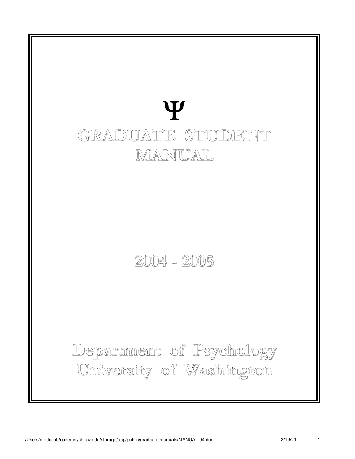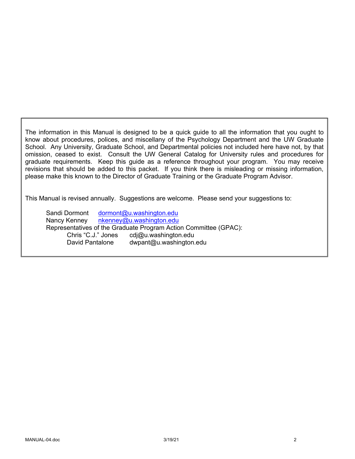The information in this Manual is designed to be a quick guide to all the information that you ought to know about procedures, polices, and miscellany of the Psychology Department and the UW Graduate School. Any University, Graduate School, and Departmental policies not included here have not, by that omission, ceased to exist. Consult the UW General Catalog for University rules and procedures for graduate requirements. Keep this guide as a reference throughout your program. You may receive revisions that should be added to this packet. If you think there is misleading or missing information, please make this known to the Director of Graduate Training or the Graduate Program Advisor.

This Manual is revised annually. Suggestions are welcome. Please send your suggestions to:

Sandi Dormont dormont@u.washington.edu Nancy Kenney nkenney@u.washington.edu Representatives of the Graduate Program Action Committee (GPAC): Chris "C.J." Jones cdj@u.washington.edu David Pantalone dwpant@u.washington.edu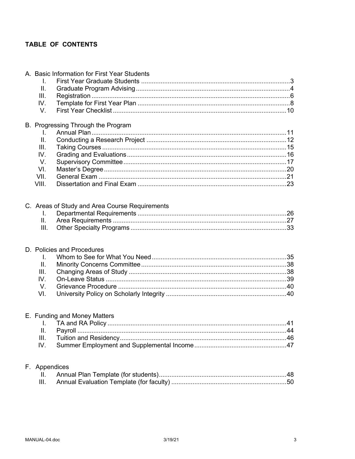# TABLE OF CONTENTS

|  | I.                      | A. Basic Information for First Year Students   |  |
|--|-------------------------|------------------------------------------------|--|
|  | Ш.                      |                                                |  |
|  | III.                    |                                                |  |
|  | IV.                     |                                                |  |
|  | V.                      |                                                |  |
|  |                         | B. Progressing Through the Program             |  |
|  | I.                      |                                                |  |
|  | II.                     |                                                |  |
|  | III.                    |                                                |  |
|  | IV.                     |                                                |  |
|  | V.                      |                                                |  |
|  | VI.                     |                                                |  |
|  | VII.                    |                                                |  |
|  | VIII.                   |                                                |  |
|  |                         |                                                |  |
|  |                         | C. Areas of Study and Area Course Requirements |  |
|  | I.                      |                                                |  |
|  | II.                     |                                                |  |
|  | III.                    |                                                |  |
|  |                         |                                                |  |
|  |                         | D. Policies and Procedures                     |  |
|  | Ι.                      |                                                |  |
|  | $\mathbf{II}$ .<br>III. |                                                |  |
|  | IV.                     |                                                |  |
|  | V.                      |                                                |  |
|  | VI.                     |                                                |  |
|  |                         |                                                |  |
|  |                         | E. Funding and Money Matters                   |  |
|  |                         |                                                |  |
|  | Ш.                      |                                                |  |
|  | Ш.                      |                                                |  |
|  | IV.                     |                                                |  |
|  |                         |                                                |  |
|  | F. Appendices           |                                                |  |
|  | н.                      |                                                |  |
|  | Ш.                      |                                                |  |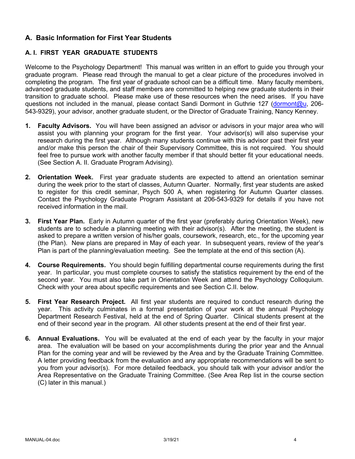# **A. Basic Information for First Year Students**

## **A. I. FIRST YEAR GRADUATE STUDENTS**

Welcome to the Psychology Department! This manual was written in an effort to guide you through your graduate program. Please read through the manual to get a clear picture of the procedures involved in completing the program. The first year of graduate school can be a difficult time. Many faculty members, advanced graduate students, and staff members are committed to helping new graduate students in their transition to graduate school. Please make use of these resources when the need arises. If you have questions not included in the manual, please contact Sandi Dormont in Guthrie 127 (dormont@u, 206- 543-9329), your advisor, another graduate student, or the Director of Graduate Training, Nancy Kenney.

- **1. Faculty Advisors.** You will have been assigned an advisor or advisors in your major area who will assist you with planning your program for the first year. Your advisor(s) will also supervise your research during the first year. Although many students continue with this advisor past their first year and/or make this person the chair of their Supervisory Committee, this is not required. You should feel free to pursue work with another faculty member if that should better fit your educational needs. (See Section A. II. Graduate Program Advising).
- **2. Orientation Week.** First year graduate students are expected to attend an orientation seminar during the week prior to the start of classes, Autumn Quarter. Normally, first year students are asked to register for this credit seminar, Psych 500 A, when registering for Autumn Quarter classes. Contact the Psychology Graduate Program Assistant at 206-543-9329 for details if you have not received information in the mail.
- **3. First Year Plan.** Early in Autumn quarter of the first year (preferably during Orientation Week), new students are to schedule a planning meeting with their advisor(s). After the meeting, the student is asked to prepare a written version of his/her goals, coursework, research, etc., for the upcoming year (the Plan). New plans are prepared in May of each year. In subsequent years, review of the year's Plan is part of the planning/evaluation meeting. See the template at the end of this section (A).
- **4. Course Requirements.** You should begin fulfilling departmental course requirements during the first year. In particular, you must complete courses to satisfy the statistics requirement by the end of the second year. You must also take part in Orientation Week and attend the Psychology Colloquium. Check with your area about specific requirements and see Section C.II. below.
- **5. First Year Research Project.** All first year students are required to conduct research during the year. This activity culminates in a formal presentation of your work at the annual Psychology Department Research Festival, held at the end of Spring Quarter. Clinical students present at the end of their second year in the program. All other students present at the end of their first year.
- **6. Annual Evaluations.** You will be evaluated at the end of each year by the faculty in your major area. The evaluation will be based on your accomplishments during the prior year and the Annual Plan for the coming year and will be reviewed by the Area and by the Graduate Training Committee. A letter providing feedback from the evaluation and any appropriate recommendations will be sent to you from your advisor(s). For more detailed feedback, you should talk with your advisor and/or the Area Representative on the Graduate Training Committee. (See Area Rep list in the course section (C) later in this manual.)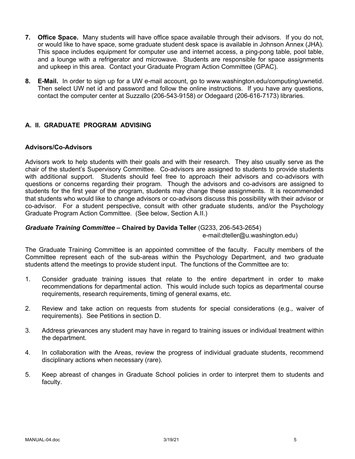- **7. Office Space.** Many students will have office space available through their advisors. If you do not, or would like to have space, some graduate student desk space is available in Johnson Annex (JHA). This space includes equipment for computer use and internet access, a ping-pong table, pool table, and a lounge with a refrigerator and microwave. Students are responsible for space assignments and upkeep in this area. Contact your Graduate Program Action Committee (GPAC).
- **8. E-Mail.** In order to sign up for a UW e-mail account, go to www.washington.edu/computing/uwnetid. Then select UW net id and password and follow the online instructions. If you have any questions, contact the computer center at Suzzallo (206-543-9158) or Odegaard (206-616-7173) libraries.

## **A. II. GRADUATE PROGRAM ADVISING**

### **Advisors/Co-Advisors**

Advisors work to help students with their goals and with their research. They also usually serve as the chair of the student's Supervisory Committee. Co-advisors are assigned to students to provide students with additional support. Students should feel free to approach their advisors and co-advisors with questions or concerns regarding their program. Though the advisors and co-advisors are assigned to students for the first year of the program, students may change these assignments. It is recommended that students who would like to change advisors or co-advisors discuss this possibility with their advisor or co-advisor. For a student perspective, consult with other graduate students, and/or the Psychology Graduate Program Action Committee. (See below, Section A.II.)

### *Graduate Training Committee –* **Chaired by Davida Teller** (G233, 206-543-2654)

e-mail:dteller@u.washington.edu)

The Graduate Training Committee is an appointed committee of the faculty. Faculty members of the Committee represent each of the sub-areas within the Psychology Department, and two graduate students attend the meetings to provide student input. The functions of the Committee are to:

- 1. Consider graduate training issues that relate to the entire department in order to make recommendations for departmental action. This would include such topics as departmental course requirements, research requirements, timing of general exams, etc.
- 2. Review and take action on requests from students for special considerations (e.g., waiver of requirements). See Petitions in section D.
- 3. Address grievances any student may have in regard to training issues or individual treatment within the department.
- 4. In collaboration with the Areas, review the progress of individual graduate students, recommend disciplinary actions when necessary (rare).
- 5. Keep abreast of changes in Graduate School policies in order to interpret them to students and faculty.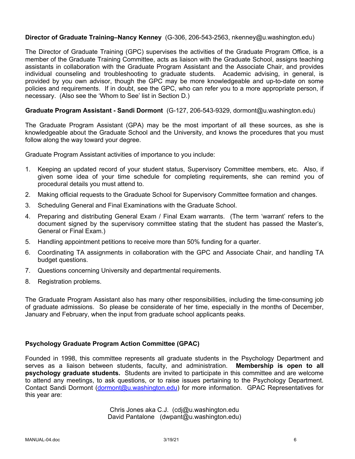## **Director of Graduate Training–Nancy Kenney** (G-306, 206-543-2563, nkenney@u.washington.edu)

The Director of Graduate Training (GPC) supervises the activities of the Graduate Program Office, is a member of the Graduate Training Committee, acts as liaison with the Graduate School, assigns teaching assistants in collaboration with the Graduate Program Assistant and the Associate Chair, and provides individual counseling and troubleshooting to graduate students. Academic advising, in general, is provided by you own advisor, though the GPC may be more knowledgeable and up-to-date on some policies and requirements. If in doubt, see the GPC, who can refer you to a more appropriate person, if necessary. (Also see the 'Whom to See' list in Section D.)

### **Graduate Program Assistant - Sandi Dormont** (G-127, 206-543-9329, dormont@u.washington.edu)

The Graduate Program Assistant (GPA) may be the most important of all these sources, as she is knowledgeable about the Graduate School and the University, and knows the procedures that you must follow along the way toward your degree.

Graduate Program Assistant activities of importance to you include:

- 1. Keeping an updated record of your student status, Supervisory Committee members, etc. Also, if given some idea of your time schedule for completing requirements, she can remind you of procedural details you must attend to.
- 2. Making official requests to the Graduate School for Supervisory Committee formation and changes.
- 3. Scheduling General and Final Examinations with the Graduate School.
- 4. Preparing and distributing General Exam / Final Exam warrants. (The term 'warrant' refers to the document signed by the supervisory committee stating that the student has passed the Master's, General or Final Exam.)
- 5. Handling appointment petitions to receive more than 50% funding for a quarter.
- 6. Coordinating TA assignments in collaboration with the GPC and Associate Chair, and handling TA budget questions.
- 7. Questions concerning University and departmental requirements.
- 8. Registration problems.

The Graduate Program Assistant also has many other responsibilities, including the time-consuming job of graduate admissions. So please be considerate of her time, especially in the months of December, January and February, when the input from graduate school applicants peaks.

### **Psychology Graduate Program Action Committee (GPAC)**

Founded in 1998, this committee represents all graduate students in the Psychology Department and serves as a liaison between students, faculty, and administration. **Membership is open to all psychology graduate students.** Students are invited to participate in this committee and are welcome to attend any meetings, to ask questions, or to raise issues pertaining to the Psychology Department. Contact Sandi Dormont (dormont@u.washington.edu) for more information. GPAC Representatives for this year are:

> Chris Jones aka C.J. (cdj@u.washington.edu David Pantalone (dwpant@u.washington.edu)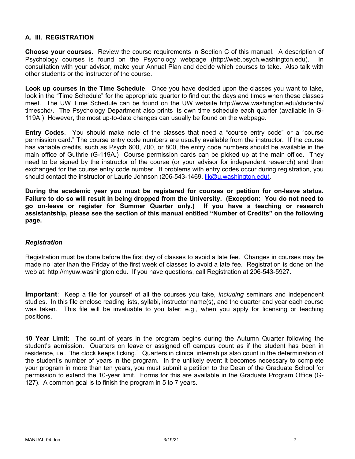## **A. III. REGISTRATION**

**Choose your courses**. Review the course requirements in Section C of this manual. A description of Psychology courses is found on the Psychology webpage (http://web.psych.washington.edu). In consultation with your advisor, make your Annual Plan and decide which courses to take. Also talk with other students or the instructor of the course.

**Look up courses in the Time Schedule**. Once you have decided upon the classes you want to take, look in the "Time Schedule" for the appropriate quarter to find out the days and times when these classes meet. The UW Time Schedule can be found on the UW website http://www.washington.edu/students/ timeschd/. The Psychology Department also prints its own time schedule each quarter (available in G-119A.) However, the most up-to-date changes can usually be found on the webpage.

**Entry Codes**. You should make note of the classes that need a "course entry code" or a "course permission card." The course entry code numbers are usually available from the instructor. If the course has variable credits, such as Psych 600, 700, or 800, the entry code numbers should be available in the main office of Guthrie (G-119A.) Course permission cards can be picked up at the main office. They need to be signed by the instructor of the course (or your advisor for independent research) and then exchanged for the course entry code number. If problems with entry codes occur during registration, you should contact the instructor or Laurie Johnson (206-543-1469, lik@u.washington.edu).

**During the academic year you must be registered for courses or petition for on-leave status. Failure to do so will result in being dropped from the University. (Exception: You do not need to go on-leave or register for Summer Quarter only.) If you have a teaching or research assistantship, please see the section of this manual entitled "Number of Credits" on the following page.**

### *Registration*

Registration must be done before the first day of classes to avoid a late fee. Changes in courses may be made no later than the Friday of the first week of classes to avoid a late fee. Registration is done on the web at: http://myuw.washington.edu. If you have questions, call Registration at 206-543-5927.

**Important**: Keep a file for yourself of all the courses you take, *including* seminars and independent studies. In this file enclose reading lists, syllabi, instructor name(s), and the quarter and year each course was taken. This file will be invaluable to you later; e.g., when you apply for licensing or teaching positions.

**10 Year Limit**: The count of years in the program begins during the Autumn Quarter following the student's admission. Quarters on leave or assigned off campus count as if the student has been in residence, i.e., "the clock keeps ticking." Quarters in clinical internships also count in the determination of the student's number of years in the program. In the unlikely event it becomes necessary to complete your program in more than ten years, you must submit a petition to the Dean of the Graduate School for permission to extend the 10-year limit. Forms for this are available in the Graduate Program Office (G-127). A common goal is to finish the program in 5 to 7 years.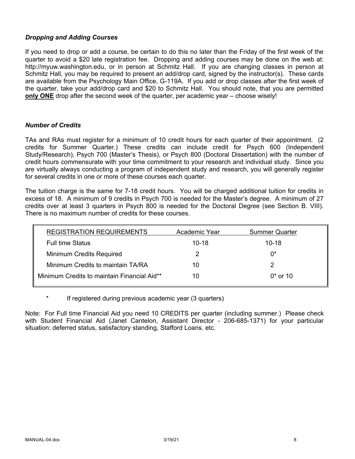## *Dropping and Adding Courses*

If you need to drop or add a course, be certain to do this no later than the Friday of the first week of the quarter to avoid a \$20 late registration fee. Dropping and adding courses may be done on the web at: http://myuw.washington.edu, or in person at Schmitz Hall. If you are changing classes in person at Schmitz Hall, you may be required to present an add/drop card, signed by the instructor(s). These cards are available from the Psychology Main Office, G-119A. If you add or drop classes after the first week of the quarter, take your add/drop card and \$20 to Schmitz Hall. You should note, that you are permitted **only ONE** drop after the second week of the quarter, per academic year – choose wisely!

### *Number of Credits*

TAs and RAs must register for a minimum of 10 credit hours for each quarter of their appointment. (2 credits for Summer Quarter.) These credits can include credit for Psych 600 (Independent Study/Research), Psych 700 (Master's Thesis), or Psych 800 (Doctoral Dissertation) with the number of credit hours commensurate with your time commitment to your research and individual study. Since you are virtually always conducting a program of independent study and research, you will generally register for several credits in one or more of these courses each quarter.

The tuition charge is the same for 7-18 credit hours. You will be charged additional tuition for credits in excess of 18. A minimum of 9 credits in Psych 700 is needed for the Master's degree. A minimum of 27 credits over at least 3 quarters in Psych 800 is needed for the Doctoral Degree (see Section B. VIII). There is no maximum number of credits for these courses.

| <b>REGISTRATION REQUIREMENTS</b>            | Academic Year | <b>Summer Quarter</b> |
|---------------------------------------------|---------------|-----------------------|
| <b>Full time Status</b>                     | $10 - 18$     | $10 - 18$             |
| Minimum Credits Required                    |               | በ*                    |
| Minimum Credits to maintain TA/RA           | 10            |                       |
| Minimum Credits to maintain Financial Aid** | 10            | $0*$ or 10            |

If registered during previous academic year (3 quarters)

Note: For Full time Financial Aid you need 10 CREDITS per quarter (including summer.) Please check with Student Financial Aid (Janet Cantelon, Assistant Director - 206-685-1371) for your particular situation: deferred status, satisfactory standing, Stafford Loans. etc.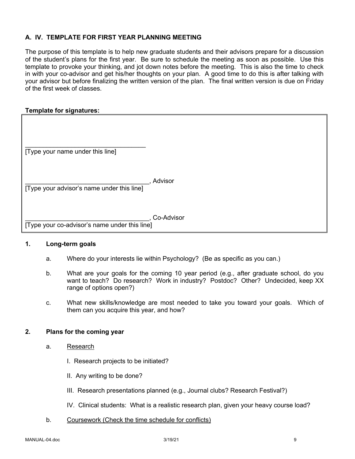## **A. IV. TEMPLATE FOR FIRST YEAR PLANNING MEETING**

The purpose of this template is to help new graduate students and their advisors prepare for a discussion of the student's plans for the first year. Be sure to schedule the meeting as soon as possible. Use this template to provoke your thinking, and jot down notes before the meeting. This is also the time to check in with your co-advisor and get his/her thoughts on your plan. A good time to do this is after talking with your advisor but before finalizing the written version of the plan. The final written version is due on Friday of the first week of classes.

### **Template for signatures:**

| [Type your name under this line]              |            |
|-----------------------------------------------|------------|
| [Type your advisor's name under this line]    | Advisor    |
| [Type your co-advisor's name under this line] | Co-Advisor |

### **1. Long-term goals**

- a. Where do your interests lie within Psychology? (Be as specific as you can.)
- b. What are your goals for the coming 10 year period (e.g., after graduate school, do you want to teach? Do research? Work in industry? Postdoc? Other? Undecided, keep XX range of options open?)
- c. What new skills/knowledge are most needed to take you toward your goals. Which of them can you acquire this year, and how?

### **2. Plans for the coming year**

- a. Research
	- I. Research projects to be initiated?
	- II. Any writing to be done?
	- III. Research presentations planned (e.g., Journal clubs? Research Festival?)
	- IV. Clinical students: What is a realistic research plan, given your heavy course load?
- b. Coursework (Check the time schedule for conflicts)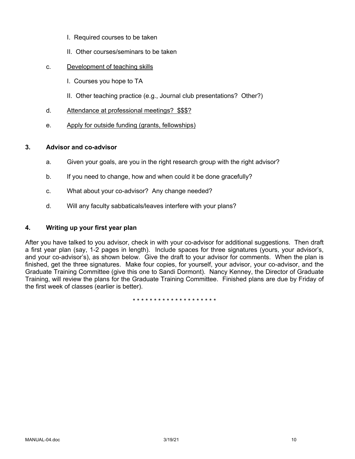- I. Required courses to be taken
- II. Other courses/seminars to be taken
- c. Development of teaching skills
	- I. Courses you hope to TA
	- II. Other teaching practice (e.g., Journal club presentations? Other?)
- d. Attendance at professional meetings? \$\$\$?
- e. Apply for outside funding (grants, fellowships)

### **3. Advisor and co-advisor**

- a. Given your goals, are you in the right research group with the right advisor?
- b. If you need to change, how and when could it be done gracefully?
- c. What about your co-advisor? Any change needed?
- d. Will any faculty sabbaticals/leaves interfere with your plans?

## **4. Writing up your first year plan**

After you have talked to you advisor, check in with your co-advisor for additional suggestions. Then draft a first year plan (say, 1-2 pages in length). Include spaces for three signatures (yours, your advisor's, and your co-advisor's), as shown below. Give the draft to your advisor for comments. When the plan is finished, get the three signatures. Make four copies, for yourself, your advisor, your co-advisor, and the Graduate Training Committee (give this one to Sandi Dormont). Nancy Kenney, the Director of Graduate Training, will review the plans for the Graduate Training Committee. Finished plans are due by Friday of the first week of classes (earlier is better).

\* \* \* \* \* \* \* \* \* \* \* \* \* \* \* \* \* \* \* \*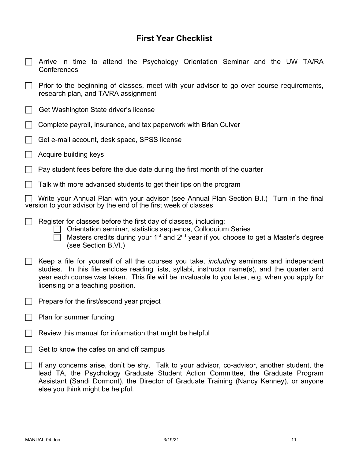# **First Year Checklist**

| Arrive in time to attend the Psychology Orientation Seminar and the UW TA/RA<br>Conferences                                                                                                                                                                                                                                             |
|-----------------------------------------------------------------------------------------------------------------------------------------------------------------------------------------------------------------------------------------------------------------------------------------------------------------------------------------|
| Prior to the beginning of classes, meet with your advisor to go over course requirements,<br>research plan, and TA/RA assignment                                                                                                                                                                                                        |
| Get Washington State driver's license                                                                                                                                                                                                                                                                                                   |
| Complete payroll, insurance, and tax paperwork with Brian Culver                                                                                                                                                                                                                                                                        |
| Get e-mail account, desk space, SPSS license                                                                                                                                                                                                                                                                                            |
| Acquire building keys                                                                                                                                                                                                                                                                                                                   |
| Pay student fees before the due date during the first month of the quarter                                                                                                                                                                                                                                                              |
| Talk with more advanced students to get their tips on the program                                                                                                                                                                                                                                                                       |
| Write your Annual Plan with your advisor (see Annual Plan Section B.I.) Turn in the final<br>version to your advisor by the end of the first week of classes                                                                                                                                                                            |
| Register for classes before the first day of classes, including:<br>Orientation seminar, statistics sequence, Colloquium Series<br>Masters credits during your 1 <sup>st</sup> and 2 <sup>nd</sup> year if you choose to get a Master's degree<br>(see Section B.VI.)                                                                   |
| Keep a file for yourself of all the courses you take, <i>including</i> seminars and independent<br>studies. In this file enclose reading lists, syllabi, instructor name(s), and the quarter and<br>year each course was taken. This file will be invaluable to you later, e.g. when you apply for<br>licensing or a teaching position. |
| Prepare for the first/second year project                                                                                                                                                                                                                                                                                               |
| Plan for summer funding                                                                                                                                                                                                                                                                                                                 |
| Review this manual for information that might be helpful                                                                                                                                                                                                                                                                                |
| Get to know the cafes on and off campus                                                                                                                                                                                                                                                                                                 |
| If any concerns arise, don't be shy. Talk to your advisor, co-advisor, another student, the<br>lead TA, the Psychology Graduate Student Action Committee, the Graduate Program<br>Assistant (Sandi Dormont), the Director of Graduate Training (Nancy Kenney), or anyone<br>else you think might be helpful.                            |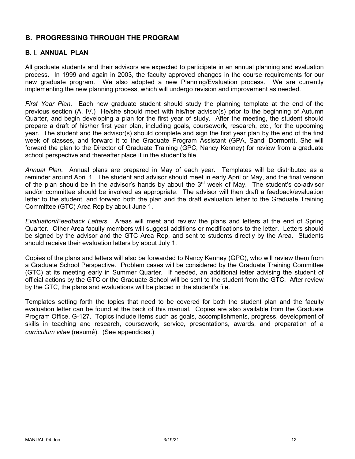# **B. PROGRESSING THROUGH THE PROGRAM**

## **B. I. ANNUAL PLAN**

All graduate students and their advisors are expected to participate in an annual planning and evaluation process. In 1999 and again in 2003, the faculty approved changes in the course requirements for our new graduate program. We also adopted a new Planning/Evaluation process. We are currently implementing the new planning process, which will undergo revision and improvement as needed.

*First Year Plan*. Each new graduate student should study the planning template at the end of the previous section (A. IV.) He/she should meet with his/her advisor(s) prior to the beginning of Autumn Quarter, and begin developing a plan for the first year of study. After the meeting, the student should prepare a draft of his/her first year plan, including goals, coursework, research, etc., for the upcoming year. The student and the advisor(s) should complete and sign the first year plan by the end of the first week of classes, and forward it to the Graduate Program Assistant (GPA, Sandi Dormont). She will forward the plan to the Director of Graduate Training (GPC, Nancy Kenney) for review from a graduate school perspective and thereafter place it in the student's file.

*Annual Plan*. Annual plans are prepared in May of each year. Templates will be distributed as a reminder around April 1. The student and advisor should meet in early April or May, and the final version of the plan should be in the advisor's hands by about the  $3<sup>rd</sup>$  week of May. The student's co-advisor and/or committee should be involved as appropriate. The advisor will then draft a feedback/evaluation letter to the student, and forward both the plan and the draft evaluation letter to the Graduate Training Committee (GTC) Area Rep by about June 1.

*Evaluation/Feedback Letters.* Areas will meet and review the plans and letters at the end of Spring Quarter. Other Area faculty members will suggest additions or modifications to the letter. Letters should be signed by the advisor and the GTC Area Rep, and sent to students directly by the Area. Students should receive their evaluation letters by about July 1.

Copies of the plans and letters will also be forwarded to Nancy Kenney (GPC), who will review them from a Graduate School Perspective. Problem cases will be considered by the Graduate Training Committee (GTC) at its meeting early in Summer Quarter. If needed, an additional letter advising the student of official actions by the GTC or the Graduate School will be sent to the student from the GTC. After review by the GTC, the plans and evaluations will be placed in the student's file.

Templates setting forth the topics that need to be covered for both the student plan and the faculty evaluation letter can be found at the back of this manual. Copies are also available from the Graduate Program Office, G-127. Topics include items such as goals, accomplishments, progress, development of skills in teaching and research, coursework, service, presentations, awards, and preparation of a *curriculum vitae* (resumé). (See appendices.)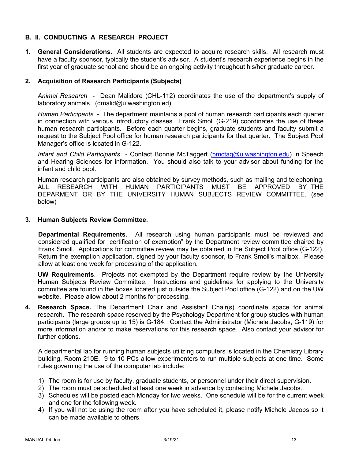## **B. II. CONDUCTING A RESEARCH PROJECT**

**1. General Considerations.** All students are expected to acquire research skills. All research must have a faculty sponsor, typically the student's advisor. A student's research experience begins in the first year of graduate school and should be an ongoing activity throughout his/her graduate career.

## **2. Acquisition of Research Participants (Subjects)**

*Animal Research* - Dean Malidore (CHL-112) coordinates the use of the department's supply of laboratory animals. (dmalid@u.washington.ed)

*Human Participants* - The department maintains a pool of human research participants each quarter in connection with various introductory classes. Frank Smoll (G-219) coordinates the use of these human research participants. Before each quarter begins, graduate students and faculty submit a request to the Subject Pool office for human research participants for that quarter. The Subject Pool Manager's office is located in G-122.

*Infant and Child Participants* - Contact Bonnie McTaggert (bmctag@u.washington.edu) in Speech and Hearing Sciences for information. You should also talk to your advisor about funding for the infant and child pool.

Human research participants are also obtained by survey methods, such as mailing and telephoning. ALL RESEARCH WITH HUMAN PARTICIPANTS MUST BE APPROVED BY THE DEPARMENT OR BY THE UNIVERSITY HUMAN SUBJECTS REVIEW COMMITTEE. (see below)

### **3. Human Subjects Review Committee.**

**Departmental Requirements.** All research using human participants must be reviewed and considered qualified for "certification of exemption" by the Department review committee chaired by Frank Smoll. Applications for committee review may be obtained in the Subject Pool office (G-122). Return the exemption application, signed by your faculty sponsor, to Frank Smoll's mailbox. Please allow at least one week for processing of the application.

**UW Requirements**. Projects not exempted by the Department require review by the University Human Subjects Review Committee. Instructions and guidelines for applying to the University committee are found in the boxes located just outside the Subject Pool office (G-122) and on the UW website. Please allow about 2 months for processing.

**4. Research Space.** The Department Chair and Assistant Chair(s) coordinate space for animal research. The research space reserved by the Psychology Department for group studies with human participants (large groups up to 15) is G-184. Contact the Administrator (Michele Jacobs, G-119) for more information and/or to make reservations for this research space. Also contact your advisor for further options.

A departmental lab for running human subjects utilizing computers is located in the Chemistry Library building, Room 210E. 9 to 10 PCs allow experimenters to run multiple subjects at one time. Some rules governing the use of the computer lab include:

- 1) The room is for use by faculty, graduate students, or personnel under their direct supervision.
- 2) The room must be scheduled at least one week in advance by contacting Michele Jacobs.
- 3) Schedules will be posted each Monday for two weeks. One schedule will be for the current week and one for the following week.
- 4) If you will not be using the room after you have scheduled it, please notify Michele Jacobs so it can be made available to others.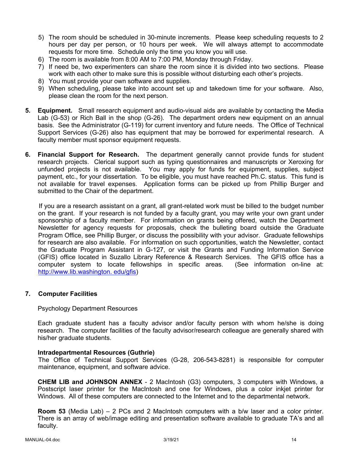- 5) The room should be scheduled in 30-minute increments. Please keep scheduling requests to 2 hours per day per person, or 10 hours per week. We will always attempt to accommodate requests for more time. Schedule only the time you know you will use.
- 6) The room is available from 8:00 AM to 7:00 PM, Monday through Friday.
- 7) If need be, two experimenters can share the room since it is divided into two sections. Please work with each other to make sure this is possible without disturbing each other's projects.
- 8) You must provide your own software and supplies.
- 9) When scheduling, please take into account set up and takedown time for your software. Also, please clean the room for the next person.
- **5. Equipment.** Small research equipment and audio-visual aids are available by contacting the Media Lab (G-53) or Rich Ball in the shop (G-26). The department orders new equipment on an annual basis. See the Administrator (G-119) for current inventory and future needs. The Office of Technical Support Services (G-26) also has equipment that may be borrowed for experimental research. A faculty member must sponsor equipment requests.
- **6. Financial Support for Research.** The department generally cannot provide funds for student research projects. Clerical support such as typing questionnaires and manuscripts or Xeroxing for unfunded projects is not available. You may apply for funds for equipment, supplies, subject payment, etc., for your dissertation. To be eligible, you must have reached Ph.C. status. This fund is not available for travel expenses. Application forms can be picked up from Phillip Burger and submitted to the Chair of the department.

If you are a research assistant on a grant, all grant-related work must be billed to the budget number on the grant. If your research is not funded by a faculty grant, you may write your own grant under sponsorship of a faculty member. For information on grants being offered, watch the Department Newsletter for agency requests for proposals, check the bulleting board outside the Graduate Program Office, see Phillip Burger, or discuss the possibility with your advisor. Graduate fellowships for research are also available. For information on such opportunities, watch the Newsletter, contact the Graduate Program Assistant in G-127, or visit the Grants and Funding Information Service (GFIS) office located in Suzallo Library Reference & Research Services. The GFIS office has a computer system to locate fellowships in specific areas. (See information on-line at: http://www.lib.washington. edu/gfis)

## **7. Computer Facilities**

### Psychology Department Resources

Each graduate student has a faculty advisor and/or faculty person with whom he/she is doing research. The computer facilities of the faculty advisor/research colleague are generally shared with his/her graduate students.

### **Intradepartmental Resources (Guthrie)**

The Office of Technical Support Services (G-28, 206-543-8281) is responsible for computer maintenance, equipment, and software advice.

**CHEM LIB and JOHNSON ANNEX** - 2 MacIntosh (G3) computers, 3 computers with Windows, a Postscript laser printer for the MacIntosh and one for Windows, plus a color inkjet printer for Windows. All of these computers are connected to the Internet and to the departmental network.

**Room 53** (Media Lab) – 2 PCs and 2 MacIntosh computers with a b/w laser and a color printer. There is an array of web/image editing and presentation software available to graduate TA's and all faculty.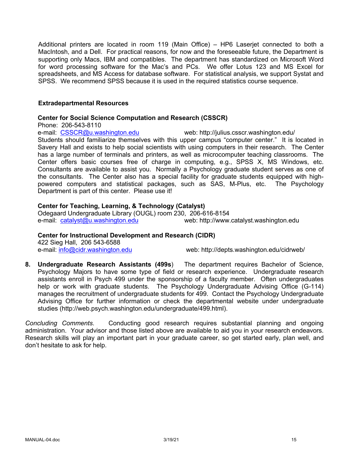Additional printers are located in room 119 (Main Office) – HP6 Laserjet connected to both a MacIntosh, and a Dell. For practical reasons, for now and the foreseeable future, the Department is supporting only Macs, IBM and compatibles. The department has standardized on Microsoft Word for word processing software for the Mac's and PCs. We offer Lotus 123 and MS Excel for spreadsheets, and MS Access for database software. For statistical analysis, we support Systat and SPSS. We recommend SPSS because it is used in the required statistics course sequence.

### **Extradepartmental Resources**

### **Center for Social Science Computation and Research (CSSCR)**

Phone: 206-543-8110

e-mail: CSSCR@u.washington.edu web: http://julius.csscr.washington.edu/

Students should familiarize themselves with this upper campus "computer center." It is located in Savery Hall and exists to help social scientists with using computers in their research. The Center has a large number of terminals and printers, as well as microcomputer teaching classrooms. The Center offers basic courses free of charge in computing, e.g., SPSS X, MS Windows, etc. Consultants are available to assist you. Normally a Psychology graduate student serves as one of the consultants. The Center also has a special facility for graduate students equipped with highpowered computers and statistical packages, such as SAS, M-Plus, etc. The Psychology Department is part of this center. Please use it!

### **Center for Teaching, Learning, & Technology (Catalyst)**

Odegaard Undergraduate Library (OUGL) room 230, 206-616-8154 e-mail: catalyst@u.washington.edu web: http://www.catalyst.washington.edu

## **Center for Instructional Development and Research (CIDR)**

422 Sieg Hall, 206 543-6588

e-mail: info@cidr.washington.edu web: http://depts.washington.edu/cidrweb/

**8. Undergraduate Research Assistants (499s**) The department requires Bachelor of Science, Psychology Majors to have some type of field or research experience. Undergraduate research assistants enroll in Psych 499 under the sponsorship of a faculty member. Often undergraduates help or work with graduate students. The Psychology Undergraduate Advising Office (G-114) manages the recruitment of undergraduate students for 499. Contact the Psychology Undergraduate Advising Office for further information or check the departmental website under undergraduate studies (http://web.psych.washington.edu/undergraduate/499.html).

*Concluding Comments*. Conducting good research requires substantial planning and ongoing administration. Your advisor and those listed above are available to aid you in your research endeavors. Research skills will play an important part in your graduate career, so get started early, plan well, and don't hesitate to ask for help.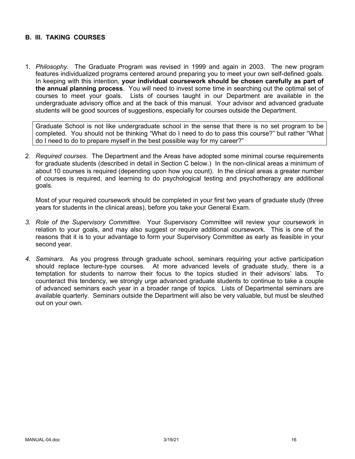## **B. III. TAKING COURSES**

1. *Philosophy.* The Graduate Program was revised in 1999 and again in 2003. The new program features individualized programs centered around preparing you to meet your own self-defined goals. In keeping with this intention, **your individual coursework should be chosen carefully as part of the annual planning process**. You will need to invest some time in searching out the optimal set of courses to meet your goals. Lists of courses taught in our Department are available in the undergraduate advisory office and at the back of this manual. Your advisor and advanced graduate students will be good sources of suggestions, especially for courses outside the Department.

Graduate School is not like undergraduate school in the sense that there is no set program to be completed. You should not be thinking "What do I need to do to pass this course?" but rather "What do I need to do to prepare myself in the best possible way for my career?"

2. *Required courses.* The Department and the Areas have adopted some minimal course requirements for graduate students (described in detail in Section C below.) In the non-clinical areas a minimum of about 10 courses is required (depending upon how you count). In the clinical areas a greater number of courses is required, and learning to do psychological testing and psychotherapy are additional goals.

Most of your required coursework should be completed in your first two years of graduate study (three years for students in the clinical areas), before you take your General Exam.

- *3. Role of the Supervisory Committee.* Your Supervisory Committee will review your coursework in relation to your goals, and may also suggest or require additional coursework. This is one of the reasons that it is to your advantage to form your Supervisory Committee as early as feasible in your second year.
- *4. Seminars.* As you progress through graduate school, seminars requiring your active participation should replace lecture-type courses. At more advanced levels of graduate study, there is a temptation for students to narrow their focus to the topics studied in their advisors' labs. To counteract this tendency, we strongly urge advanced graduate students to continue to take a couple of advanced seminars each year in a broader range of topics. Lists of Departmental seminars are available quarterly. Seminars outside the Department will also be very valuable, but must be sleuthed out on your own.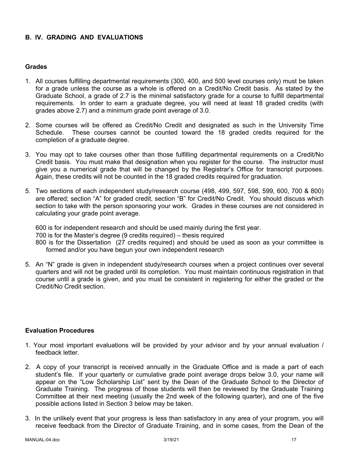## **B. IV. GRADING AND EVALUATIONS**

### **Grades**

- 1. All courses fulfilling departmental requirements (300, 400, and 500 level courses only) must be taken for a grade unless the course as a whole is offered on a Credit/No Credit basis. As stated by the Graduate School, a grade of 2.7 is the minimal satisfactory grade for a course to fulfill departmental requirements. In order to earn a graduate degree, you will need at least 18 graded credits (with grades above 2.7) and a minimum grade point average of 3.0.
- 2. Some courses will be offered as Credit/No Credit and designated as such in the University Time Schedule. These courses cannot be counted toward the 18 graded credits required for the completion of a graduate degree.
- 3. You may opt to take courses other than those fulfilling departmental requirements on a Credit/No Credit basis. You must make that designation when you register for the course. The instructor must give you a numerical grade that will be changed by the Registrar's Office for transcript purposes. Again, these credits will not be counted in the 18 graded credits required for graduation.
- 5. Two sections of each independent study/research course (498, 499, 597, 598, 599, 600, 700 & 800) are offered; section "A" for graded credit, section "B" for Credit/No Credit. You should discuss which section to take with the person sponsoring your work. Grades in these courses are not considered in calculating your grade point average.

600 is for independent research and should be used mainly during the first year. 700 is for the Master's degree (9 credits required) – thesis required 800 is for the Dissertation (27 credits required) and should be used as soon as your committee is formed and/or you have begun your own independent research

5. An "N" grade is given in independent study/research courses when a project continues over several quarters and will not be graded until its completion. You must maintain continuous registration in that course until a grade is given, and you must be consistent in registering for either the graded or the Credit/No Credit section.

### **Evaluation Procedures**

- 1. Your most important evaluations will be provided by your advisor and by your annual evaluation / feedback letter.
- 2. A copy of your transcript is received annually in the Graduate Office and is made a part of each student's file. If your quarterly or cumulative grade point average drops below 3.0, your name will appear on the "Low Scholarship List" sent by the Dean of the Graduate School to the Director of Graduate Training. The progress of those students will then be reviewed by the Graduate Training Committee at their next meeting (usually the 2nd week of the following quarter), and one of the five possible actions listed in Section 3 below may be taken.
- 3. In the unlikely event that your progress is less than satisfactory in any area of your program, you will receive feedback from the Director of Graduate Training, and in some cases, from the Dean of the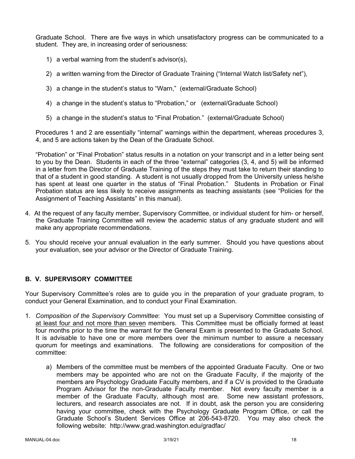Graduate School. There are five ways in which unsatisfactory progress can be communicated to a student. They are, in increasing order of seriousness:

- 1) a verbal warning from the student's advisor(s),
- 2) a written warning from the Director of Graduate Training ("Internal Watch list/Safety net"),
- 3) a change in the student's status to "Warn," (external/Graduate School)
- 4) a change in the student's status to "Probation," or (external/Graduate School)
- 5) a change in the student's status to "Final Probation." (external/Graduate School)

Procedures 1 and 2 are essentially "internal" warnings within the department, whereas procedures 3, 4, and 5 are actions taken by the Dean of the Graduate School.

"Probation" or "Final Probation" status results in a notation on your transcript and in a letter being sent to you by the Dean. Students in each of the three "external" categories (3, 4, and 5) will be informed in a letter from the Director of Graduate Training of the steps they must take to return their standing to that of a student in good standing. A student is not usually dropped from the University unless he/she has spent at least one quarter in the status of "Final Probation." Students in Probation or Final Probation status are less likely to receive assignments as teaching assistants (see "Policies for the Assignment of Teaching Assistants" in this manual).

- 4. At the request of any faculty member, Supervisory Committee, or individual student for him- or herself, the Graduate Training Committee will review the academic status of any graduate student and will make any appropriate recommendations.
- 5. You should receive your annual evaluation in the early summer. Should you have questions about your evaluation, see your advisor or the Director of Graduate Training.

# **B. V. SUPERVISORY COMMITTEE**

Your Supervisory Committee's roles are to guide you in the preparation of your graduate program, to conduct your General Examination, and to conduct your Final Examination.

- 1. *Composition of the Supervisory Committee*: You must set up a Supervisory Committee consisting of at least four and not more than seven members. This Committee must be officially formed at least four months prior to the time the warrant for the General Exam is presented to the Graduate School. It is advisable to have one or more members over the minimum number to assure a necessary quorum for meetings and examinations. The following are considerations for composition of the committee:
	- a) Members of the committee must be members of the appointed Graduate Faculty. One or two members may be appointed who are not on the Graduate Faculty, if the majority of the members are Psychology Graduate Faculty members, and if a CV is provided to the Graduate Program Advisor for the non-Graduate Faculty member. Not every faculty member is a member of the Graduate Faculty, although most are. Some new assistant professors, lecturers, and research associates are not. If in doubt, ask the person you are considering having your committee, check with the Psychology Graduate Program Office, or call the Graduate School's Student Services Office at 206-543-8720. You may also check the following website: http://www.grad.washington.edu/gradfac/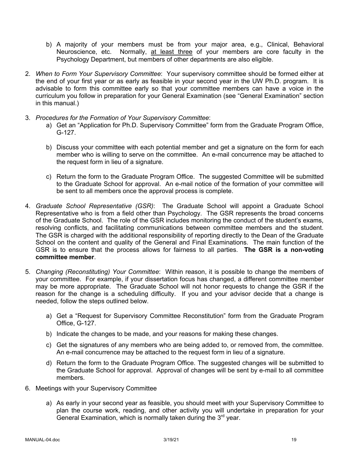- b) A majority of your members must be from your major area, e.g., Clinical, Behavioral Neuroscience, etc. Normally, at least three of your members are core faculty in the Psychology Department, but members of other departments are also eligible.
- 2. *When to Form Your Supervisory Committee*: Your supervisory committee should be formed either at the end of your first year or as early as feasible in your second year in the UW Ph.D. program. It is advisable to form this committee early so that your committee members can have a voice in the curriculum you follow in preparation for your General Examination (see "General Examination" section in this manual.)
- 3. *Procedures for the Formation of Your Supervisory Committee*:
	- a) Get an "Application for Ph.D. Supervisory Committee" form from the Graduate Program Office, G-127.
	- b) Discuss your committee with each potential member and get a signature on the form for each member who is willing to serve on the committee. An e-mail concurrence may be attached to the request form in lieu of a signature.
	- c) Return the form to the Graduate Program Office. The suggested Committee will be submitted to the Graduate School for approval. An e-mail notice of the formation of your committee will be sent to all members once the approval process is complete.
- 4. *Graduate School Representative (GSR)*: The Graduate School will appoint a Graduate School Representative who is from a field other than Psychology. The GSR represents the broad concerns of the Graduate School. The role of the GSR includes monitoring the conduct of the student's exams, resolving conflicts, and facilitating communications between committee members and the student. The GSR is charged with the additional responsibility of reporting directly to the Dean of the Graduate School on the content and quality of the General and Final Examinations. The main function of the GSR is to ensure that the process allows for fairness to all parties. **The GSR is a non-voting committee member**.
- 5. *Changing (Reconstituting) Your Committee*: Within reason, it is possible to change the members of your committee. For example, if your dissertation focus has changed, a different committee member may be more appropriate. The Graduate School will not honor requests to change the GSR if the reason for the change is a scheduling difficulty. If you and your advisor decide that a change is needed, follow the steps outlined below.
	- a) Get a "Request for Supervisory Committee Reconstitution" form from the Graduate Program Office, G-127.
	- b) Indicate the changes to be made, and your reasons for making these changes.
	- c) Get the signatures of any members who are being added to, or removed from, the committee. An e-mail concurrence may be attached to the request form in lieu of a signature.
	- d) Return the form to the Graduate Program Office. The suggested changes will be submitted to the Graduate School for approval. Approval of changes will be sent by e-mail to all committee members.
- 6. Meetings with your Supervisory Committee
	- a) As early in your second year as feasible, you should meet with your Supervisory Committee to plan the course work, reading, and other activity you will undertake in preparation for your General Examination, which is normally taken during the  $3<sup>rd</sup>$  year.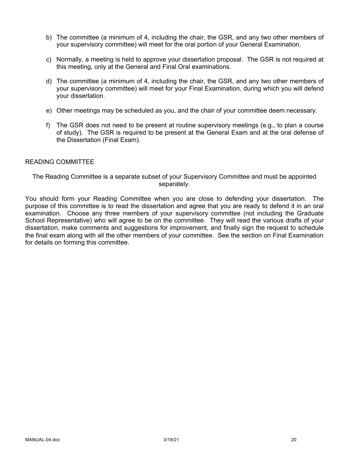- b) The committee (a minimum of 4, including the chair, the GSR, and any two other members of your supervisory committee) will meet for the oral portion of your General Examination.
- c) Normally, a meeting is held to approve your dissertation proposal. The GSR is not required at this meeting, only at the General and Final Oral examinations.
- d) The committee (a minimum of 4, including the chair, the GSR, and any two other members of your supervisory committee) will meet for your Final Examination, during which you will defend your dissertation.
- e) Other meetings may be scheduled as you, and the chair of your committee deem necessary.
- f) The GSR does not need to be present at routine supervisory meetings (e.g., to plan a course of study). The GSR is required to be present at the General Exam and at the oral defense of the Dissertation (Final Exam).

### READING COMMITTEE

The Reading Committee is a separate subset of your Supervisory Committee and must be appointed separately.

You should form your Reading Committee when you are close to defending your dissertation. The purpose of this committee is to read the dissertation and agree that you are ready to defend it in an oral examination. Choose any three members of your supervisory committee (not including the Graduate School Representative) who will agree to be on the committee. They will read the various drafts of your dissertation, make comments and suggestions for improvement, and finally sign the request to schedule the final exam along with all the other members of your committee. See the section on Final Examination for details on forming this committee.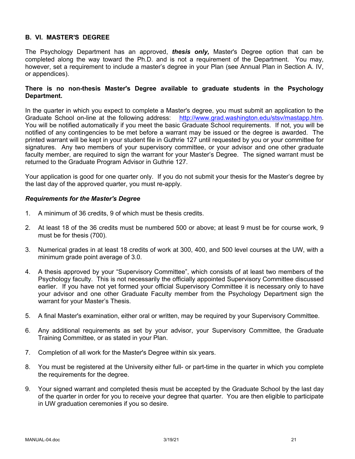## **B. VI. MASTER'S DEGREE**

The Psychology Department has an approved, *thesis only,* Master's Degree option that can be completed along the way toward the Ph.D. and is not a requirement of the Department. You may, however, set a requirement to include a master's degree in your Plan (see Annual Plan in Section A. IV, or appendices).

### **There is no non-thesis Master's Degree available to graduate students in the Psychology Department.**

In the quarter in which you expect to complete a Master's degree, you must submit an application to the Graduate School on-line at the following address: http://www.grad.washington.edu/stsv/mastapp.htm. You will be notified automatically if you meet the basic Graduate School requirements. If not, you will be notified of any contingencies to be met before a warrant may be issued or the degree is awarded. The printed warrant will be kept in your student file in Guthrie 127 until requested by you or your committee for signatures. Any two members of your supervisory committee, or your advisor and one other graduate faculty member, are required to sign the warrant for your Master's Degree. The signed warrant must be returned to the Graduate Program Advisor in Guthrie 127.

Your application is good for one quarter only. If you do not submit your thesis for the Master's degree by the last day of the approved quarter, you must re-apply.

### *Requirements for the Master's Degree*

- 1. A minimum of 36 credits, 9 of which must be thesis credits.
- 2. At least 18 of the 36 credits must be numbered 500 or above; at least 9 must be for course work, 9 must be for thesis (700).
- 3. Numerical grades in at least 18 credits of work at 300, 400, and 500 level courses at the UW, with a minimum grade point average of 3.0.
- 4. A thesis approved by your "Supervisory Committee", which consists of at least two members of the Psychology faculty. This is not necessarily the officially appointed Supervisory Committee discussed earlier. If you have not yet formed your official Supervisory Committee it is necessary only to have your advisor and one other Graduate Faculty member from the Psychology Department sign the warrant for your Master's Thesis.
- 5. A final Master's examination, either oral or written, may be required by your Supervisory Committee.
- 6. Any additional requirements as set by your advisor, your Supervisory Committee, the Graduate Training Committee, or as stated in your Plan.
- 7. Completion of all work for the Master's Degree within six years.
- 8. You must be registered at the University either full- or part-time in the quarter in which you complete the requirements for the degree.
- 9. Your signed warrant and completed thesis must be accepted by the Graduate School by the last day of the quarter in order for you to receive your degree that quarter. You are then eligible to participate in UW graduation ceremonies if you so desire.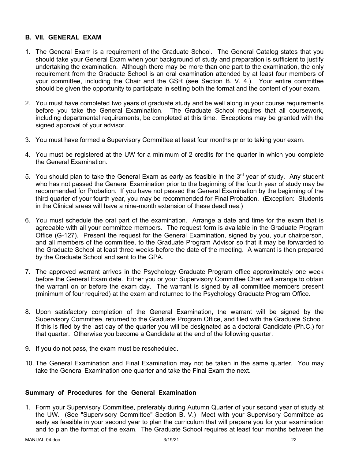## **B. VII. GENERAL EXAM**

- 1. The General Exam is a requirement of the Graduate School. The General Catalog states that you should take your General Exam when your background of study and preparation is sufficient to justify undertaking the examination. Although there may be more than one part to the examination, the only requirement from the Graduate School is an oral examination attended by at least four members of your committee, including the Chair and the GSR (see Section B. V. 4.). Your entire committee should be given the opportunity to participate in setting both the format and the content of your exam.
- 2. You must have completed two years of graduate study and be well along in your course requirements before you take the General Examination. The Graduate School requires that all coursework, including departmental requirements, be completed at this time. Exceptions may be granted with the signed approval of your advisor.
- 3. You must have formed a Supervisory Committee at least four months prior to taking your exam.
- 4. You must be registered at the UW for a minimum of 2 credits for the quarter in which you complete the General Examination.
- 5. You should plan to take the General Exam as early as feasible in the  $3<sup>rd</sup>$  year of study. Any student who has not passed the General Examination prior to the beginning of the fourth year of study may be recommended for Probation. If you have not passed the General Examination by the beginning of the third quarter of your fourth year, you may be recommended for Final Probation. (Exception: Students in the Clinical areas will have a nine-month extension of these deadlines.)
- 6. You must schedule the oral part of the examination. Arrange a date and time for the exam that is agreeable with all your committee members. The request form is available in the Graduate Program Office (G-127). Present the request for the General Examination, signed by you, your chairperson, and all members of the committee, to the Graduate Program Advisor so that it may be forwarded to the Graduate School at least three weeks before the date of the meeting. A warrant is then prepared by the Graduate School and sent to the GPA.
- 7. The approved warrant arrives in the Psychology Graduate Program office approximately one week before the General Exam date. Either you or your Supervisory Committee Chair will arrange to obtain the warrant on or before the exam day. The warrant is signed by all committee members present (minimum of four required) at the exam and returned to the Psychology Graduate Program Office.
- 8. Upon satisfactory completion of the General Examination, the warrant will be signed by the Supervisory Committee, returned to the Graduate Program Office, and filed with the Graduate School. If this is filed by the last day of the quarter you will be designated as a doctoral Candidate (Ph.C.) for that quarter. Otherwise you become a Candidate at the end of the following quarter.
- 9. If you do not pass, the exam must be rescheduled.
- 10. The General Examination and Final Examination may not be taken in the same quarter. You may take the General Examination one quarter and take the Final Exam the next.

## **Summary of Procedures for the General Examination**

1. Form your Supervisory Committee, preferably during Autumn Quarter of your second year of study at the UW. (See "Supervisory Committee" Section B. V.) Meet with your Supervisory Committee as early as feasible in your second year to plan the curriculum that will prepare you for your examination and to plan the format of the exam. The Graduate School requires at least four months between the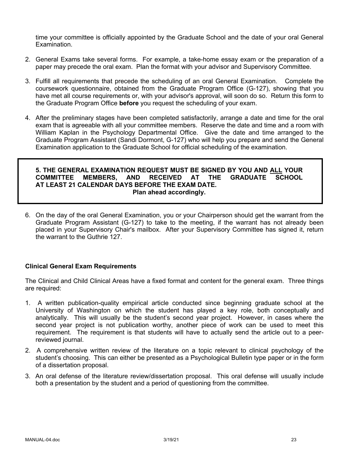time your committee is officially appointed by the Graduate School and the date of your oral General Examination.

- 2. General Exams take several forms. For example, a take-home essay exam or the preparation of a paper may precede the oral exam. Plan the format with your advisor and Supervisory Committee.
- 3. Fulfill all requirements that precede the scheduling of an oral General Examination. Complete the coursework questionnaire, obtained from the Graduate Program Office (G-127), showing that you have met all course requirements or, with your advisor's approval, will soon do so. Return this form to the Graduate Program Office **before** you request the scheduling of your exam.
- 4. After the preliminary stages have been completed satisfactorily, arrange a date and time for the oral exam that is agreeable with all your committee members. Reserve the date and time and a room with William Kaplan in the Psychology Departmental Office. Give the date and time arranged to the Graduate Program Assistant (Sandi Dormont, G-127) who will help you prepare and send the General Examination application to the Graduate School for official scheduling of the examination.

#### **5. THE GENERAL EXAMINATION REQUEST MUST BE SIGNED BY YOU AND ALL YOUR COMMITTEE MEMBERS, AND RECEIVED AT THE GRADUATE SCHOOL AT LEAST 21 CALENDAR DAYS BEFORE THE EXAM DATE. Plan ahead accordingly.**

6. On the day of the oral General Examination, you or your Chairperson should get the warrant from the Graduate Program Assistant (G-127) to take to the meeting, if the warrant has not already been placed in your Supervisory Chair's mailbox. After your Supervisory Committee has signed it, return the warrant to the Guthrie 127.

## **Clinical General Exam Requirements**

The Clinical and Child Clinical Areas have a fixed format and content for the general exam. Three things are required:

- 1. A written publication-quality empirical article conducted since beginning graduate school at the University of Washington on which the student has played a key role, both conceptually and analytically. This will usually be the student's second year project. However, in cases where the second year project is not publication worthy, another piece of work can be used to meet this requirement. The requirement is that students will have to actually send the article out to a peerreviewed journal.
- 2. A comprehensive written review of the literature on a topic relevant to clinical psychology of the student's choosing. This can either be presented as a Psychological Bulletin type paper or in the form of a dissertation proposal.
- 3. An oral defense of the literature review/dissertation proposal. This oral defense will usually include both a presentation by the student and a period of questioning from the committee.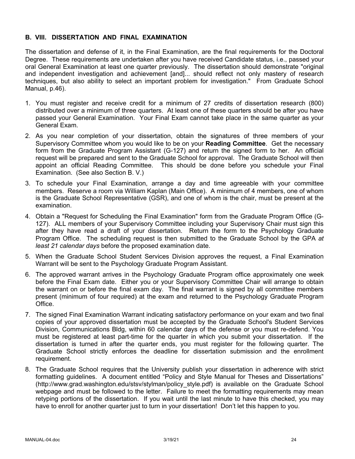### **B. VIII. DISSERTATION AND FINAL EXAMINATION**

The dissertation and defense of it, in the Final Examination, are the final requirements for the Doctoral Degree. These requirements are undertaken after you have received Candidate status, i.e., passed your oral General Examination at least one quarter previously. The dissertation should demonstrate "original and independent investigation and achievement [and]... should reflect not only mastery of research techniques, but also ability to select an important problem for investigation." From Graduate School Manual, p.46).

- 1. You must register and receive credit for a minimum of 27 credits of dissertation research (800) distributed over a minimum of three quarters. At least one of these quarters should be after you have passed your General Examination. Your Final Exam cannot take place in the same quarter as your General Exam.
- 2. As you near completion of your dissertation, obtain the signatures of three members of your Supervisory Committee whom you would like to be on your **Reading Committee**. Get the necessary form from the Graduate Program Assistant (G-127) and return the signed form to her. An official request will be prepared and sent to the Graduate School for approval. The Graduate School will then appoint an official Reading Committee. This should be done before you schedule your Final Examination. (See also Section B. V.)
- 3. To schedule your Final Examination, arrange a day and time agreeable with your committee members. Reserve a room via William Kaplan (Main Office). A minimum of 4 members, one of whom is the Graduate School Representative (GSR), and one of whom is the chair, must be present at the examination.
- 4. Obtain a "Request for Scheduling the Final Examination" form from the Graduate Program Office (G-127). ALL members of your Supervisory Committee including your Supervisory Chair must sign this after they have read a draft of your dissertation. Return the form to the Psychology Graduate Program Office. The scheduling request is then submitted to the Graduate School by the GPA *at least 21 calendar days* before the proposed examination date.
- 5. When the Graduate School Student Services Division approves the request, a Final Examination Warrant will be sent to the Psychology Graduate Program Assistant.
- 6. The approved warrant arrives in the Psychology Graduate Program office approximately one week before the Final Exam date. Either you or your Supervisory Committee Chair will arrange to obtain the warrant on or before the final exam day. The final warrant is signed by all committee members present (minimum of four required) at the exam and returned to the Psychology Graduate Program Office.
- 7. The signed Final Examination Warrant indicating satisfactory performance on your exam and two final copies of your approved dissertation must be accepted by the Graduate School's Student Services Division, Communications Bldg, within 60 calendar days of the defense or you must re-defend. You must be registered at least part-time for the quarter in which you submit your dissertation. If the dissertation is turned in after the quarter ends, you must register for the following quarter. The Graduate School strictly enforces the deadline for dissertation submission and the enrollment requirement.
- 8. The Graduate School requires that the University publish your dissertation in adherence with strict formatting guidelines. A document entitled "Policy and Style Manual for Theses and Dissertations" (http://www.grad.washington.edu/stsv/stylman/policy\_style.pdf) is available on the Graduate School webpage and must be followed to the letter. Failure to meet the formatting requirements may mean retyping portions of the dissertation. If you wait until the last minute to have this checked, you may have to enroll for another quarter just to turn in your dissertation! Don't let this happen to you.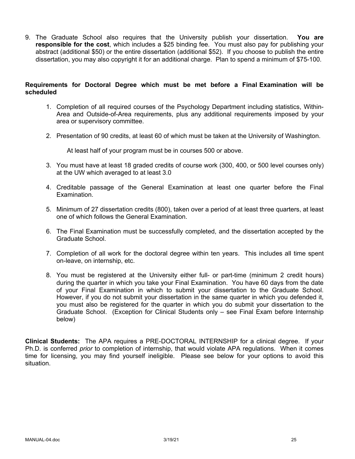9. The Graduate School also requires that the University publish your dissertation. **You are responsible for the cost**, which includes a \$25 binding fee. You must also pay for publishing your abstract (additional \$50) or the entire dissertation (additional \$52). If you choose to publish the entire dissertation, you may also copyright it for an additional charge. Plan to spend a minimum of \$75-100.

## **Requirements for Doctoral Degree which must be met before a Final Examination will be scheduled**

- 1. Completion of all required courses of the Psychology Department including statistics, Within-Area and Outside-of-Area requirements, plus any additional requirements imposed by your area or supervisory committee.
- 2. Presentation of 90 credits, at least 60 of which must be taken at the University of Washington.

At least half of your program must be in courses 500 or above.

- 3. You must have at least 18 graded credits of course work (300, 400, or 500 level courses only) at the UW which averaged to at least 3.0
- 4. Creditable passage of the General Examination at least one quarter before the Final Examination.
- 5. Minimum of 27 dissertation credits (800), taken over a period of at least three quarters, at least one of which follows the General Examination.
- 6. The Final Examination must be successfully completed, and the dissertation accepted by the Graduate School.
- 7. Completion of all work for the doctoral degree within ten years. This includes all time spent on-leave, on internship, etc.
- 8. You must be registered at the University either full- or part-time (minimum 2 credit hours) during the quarter in which you take your Final Examination. You have 60 days from the date of your Final Examination in which to submit your dissertation to the Graduate School. However, if you do not submit your dissertation in the same quarter in which you defended it, you must also be registered for the quarter in which you do submit your dissertation to the Graduate School. (Exception for Clinical Students only – see Final Exam before Internship below)

**Clinical Students:** The APA requires a PRE-DOCTORAL INTERNSHIP for a clinical degree. If your Ph.D. is conferred *prior* to completion of internship, that would violate APA regulations. When it comes time for licensing, you may find yourself ineligible. Please see below for your options to avoid this situation.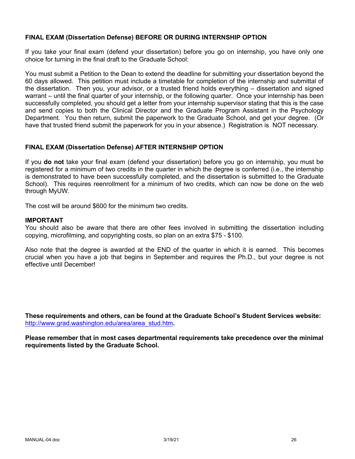### **FINAL EXAM (Dissertation Defense) BEFORE OR DURING INTERNSHIP OPTION**

If you take your final exam (defend your dissertation) before you go on internship, you have only one choice for turning in the final draft to the Graduate School:

You must submit a Petition to the Dean to extend the deadline for submitting your dissertation beyond the 60 days allowed. This petition must include a timetable for completion of the internship and submittal of the dissertation. Then you, your advisor, or a trusted friend holds everything – dissertation and signed warrant – until the final quarter of your internship, or the following quarter. Once your internship has been successfully completed, you should get a letter from your internship supervisor stating that this is the case and send copies to both the Clinical Director and the Graduate Program Assistant in the Psychology Department. You then return, submit the paperwork to the Graduate School, and get your degree. (Or have that trusted friend submit the paperwork for you in your absence.) Registration is NOT necessary.

### **FINAL EXAM (Dissertation Defense) AFTER INTERNSHIP OPTION**

If you **do not** take your final exam (defend your dissertation) before you go on internship, you must be registered for a minimum of two credits in the quarter in which the degree is conferred (i.e., the internship is demonstrated to have been successfully completed, and the dissertation is submitted to the Graduate School). This requires reenrollment for a minimum of two credits, which can now be done on the web through MyUW.

The cost will be around \$600 for the minimum two credits.

#### **IMPORTANT**

You should also be aware that there are other fees involved in submitting the dissertation including copying, microfilming, and copyrighting costs, so plan on an extra \$75 - \$100.

Also note that the degree is awarded at the END of the quarter in which it is earned. This becomes crucial when you have a job that begins in September and requires the Ph.D., but your degree is not effective until December!

**These requirements and others, can be found at the Graduate School's Student Services website:** http://www.grad.washington.edu/area/area\_stud.htm**.**

**Please remember that in most cases departmental requirements take precedence over the minimal requirements listed by the Graduate School.**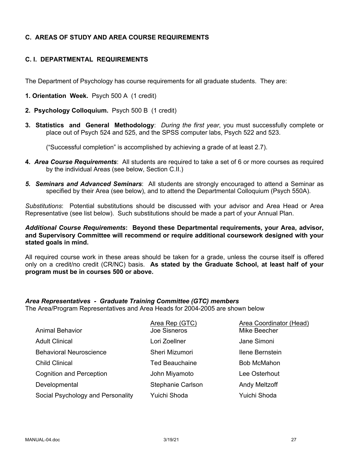## **C. AREAS OF STUDY AND AREA COURSE REQUIREMENTS**

## **C. I. DEPARTMENTAL REQUIREMENTS**

The Department of Psychology has course requirements for all graduate students. They are:

- **1. Orientation Week.** Psych 500 A (1 credit)
- **2. Psychology Colloquium.** Psych 500 B (1 credit)
- **3. Statistics and General Methodology**: *During the first year*, you must successfully complete or place out of Psych 524 and 525, and the SPSS computer labs, Psych 522 and 523.

("Successful completion" is accomplished by achieving a grade of at least 2.7).

- **4.** *Area Course Requirements*: All students are required to take a set of 6 or more courses as required by the individual Areas (see below, Section C.II.)
- *5. Seminars and Advanced Seminars*: All students are strongly encouraged to attend a Seminar as specified by their Area (see below), and to attend the Departmental Colloquium (Psych 550A).

*Substitutions*: Potential substitutions should be discussed with your advisor and Area Head or Area Representative (see list below). Such substitutions should be made a part of your Annual Plan.

*Additional Course Requirements***: Beyond these Departmental requirements, your Area, advisor, and Supervisory Committee will recommend or require additional coursework designed with your stated goals in mind.**

All required course work in these areas should be taken for a grade, unless the course itself is offered only on a credit/no credit (CR/NC) basis. **As stated by the Graduate School, at least half of your program must be in courses 500 or above.**

# *Area Representatives - Graduate Training Committee (GTC) members*

The Area/Program Representatives and Area Heads for 2004-2005 are shown below

|                                   | Area Rep (GTC)        | Area Coordinator (Head) |
|-----------------------------------|-----------------------|-------------------------|
| <b>Animal Behavior</b>            | Joe Sisneros          | Mike Beecher            |
| <b>Adult Clinical</b>             | Lori Zoellner         | Jane Simoni             |
| <b>Behavioral Neuroscience</b>    | Sheri Mizumori        | Ilene Bernstein         |
| <b>Child Clinical</b>             | <b>Ted Beauchaine</b> | <b>Bob McMahon</b>      |
| <b>Cognition and Perception</b>   | John Miyamoto         | Lee Osterhout           |
| Developmental                     | Stephanie Carlson     | <b>Andy Meltzoff</b>    |
| Social Psychology and Personality | Yuichi Shoda          | Yuichi Shoda            |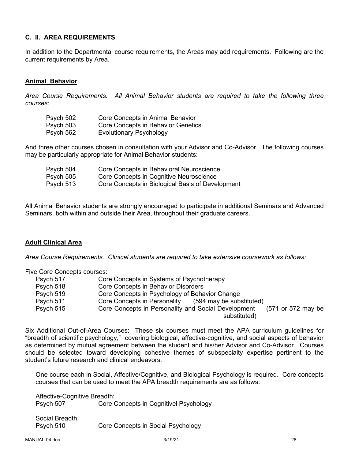## **C. II. AREA REQUIREMENTS**

In addition to the Departmental course requirements, the Areas may add requirements. Following are the current requirements by Area.

## **Animal Behavior**

*Area Course Requirements. All Animal Behavior students are required to take the following three courses*:

| Psych 502 | Core Concepts in Animal Behavior   |
|-----------|------------------------------------|
| Psych 503 | Core Concepts in Behavior Genetics |
| Psych 562 | <b>Evolutionary Psychology</b>     |

And three other courses chosen in consultation with your Advisor and Co-Advisor. The following courses may be particularly appropriate for Animal Behavior students:

| Psych 504 | Core Concepts in Behavioral Neuroscience         |
|-----------|--------------------------------------------------|
| Psych 505 | Core Concepts in Cognitive Neuroscience          |
| Psych 513 | Core Concepts in Biological Basis of Development |

All Animal Behavior students are strongly encouraged to participate in additional Seminars and Advanced Seminars, both within and outside their Area, throughout their graduate careers.

### **Adult Clinical Area**

*Area Course Requirements. Clinical students are required to take extensive coursework as follows:*

Five Core Concepts courses:

| Psych 517 | Core Concepts in Systems of Psychotherapy                                 |
|-----------|---------------------------------------------------------------------------|
| Psych 518 | Core Concepts in Behavior Disorders                                       |
| Psych 519 | Core Concepts in Psychology of Behavior Change                            |
| Psych 511 | (594 may be substituted)<br>Core Concepts in Personality                  |
| Psych 515 | Core Concepts in Personality and Social Development<br>(571 or 572 may be |
|           | substituted)                                                              |

Six Additional Out-of-Area Courses: These six courses must meet the APA curriculum guidelines for "breadth of scientific psychology," covering biological, affective-cognitive, and social aspects of behavior as determined by mutual agreement between the student and his/her Advisor and Co-Advisor. Courses should be selected toward developing cohesive themes of subspecialty expertise pertinent to the student's future research and clinical endeavors.

One course each in Social, Affective/Cognitive, and Biological Psychology is required. Core concepts courses that can be used to meet the APA breadth requirements are as follows:

Affective-Cognitive Breadth: Psych 507 Core Concepts in Cognitivel Psychology

Social Breadth: Psych 510 Core Concepts in Social Psychology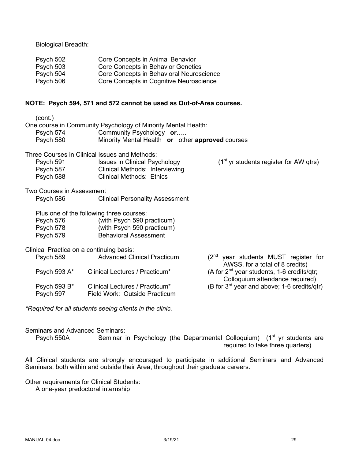Biological Breadth:

| Psych 502 | Core Concepts in Animal Behavior         |
|-----------|------------------------------------------|
| Psych 503 | Core Concepts in Behavior Genetics       |
| Psych 504 | Core Concepts in Behavioral Neuroscience |
| Psych 506 | Core Concepts in Cognitive Neuroscience  |

## **NOTE: Psych 594, 571 and 572 cannot be used as Out-of-Area courses.**

| (cont.)<br>Psych 574<br>Psych 580   | One course in Community Psychology of Minority Mental Health:<br>Community Psychology or<br>Minority Mental Health or other approved courses |                                                                                    |
|-------------------------------------|----------------------------------------------------------------------------------------------------------------------------------------------|------------------------------------------------------------------------------------|
|                                     | Three Courses in Clinical Issues and Methods:                                                                                                |                                                                                    |
| Psych 591<br>Psych 587<br>Psych 588 | <b>Issues in Clinical Psychology</b><br>Clinical Methods: Interviewing<br><b>Clinical Methods: Ethics</b>                                    | $(1st$ yr students register for AW qtrs)                                           |
| Two Courses in Assessment           |                                                                                                                                              |                                                                                    |
| Psych 586                           | <b>Clinical Personality Assessment</b>                                                                                                       |                                                                                    |
| Psych 576<br>Psych 578<br>Psych 579 | Plus one of the following three courses:<br>(with Psych 590 practicum)<br>(with Psych 590 practicum)<br><b>Behavioral Assessment</b>         |                                                                                    |
|                                     | Clinical Practica on a continuing basis:                                                                                                     |                                                                                    |
| Psych 589                           | <b>Advanced Clinical Practicum</b>                                                                                                           | $(2^{nd}$ year students MUST register for<br>AWSS, for a total of 8 credits)       |
| Psych 593 A*                        | Clinical Lectures / Practicum*                                                                                                               | (A for $2^{nd}$ year students, 1-6 credits/qtr;<br>Colloquium attendance required) |
| Psych 593 B*<br>Psych 597           | Clinical Lectures / Practicum*<br>Field Work: Outside Practicum                                                                              | (B for 3 <sup>rd</sup> year and above; 1-6 credits/qtr)                            |
|                                     |                                                                                                                                              |                                                                                    |

*\*Required for all students seeing clients in the clinic.*

Seminars and Advanced Seminars:

Psych 550A Seminar in Psychology (the Departmental Colloquium) (1<sup>st</sup> yr students are required to take three quarters)

All Clinical students are strongly encouraged to participate in additional Seminars and Advanced Seminars, both within and outside their Area, throughout their graduate careers.

Other requirements for Clinical Students:

A one-year predoctoral internship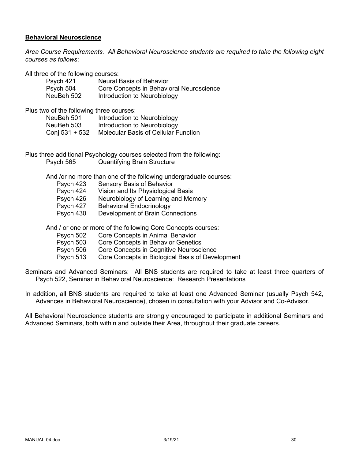### **Behavioral Neuroscience**

*Area Course Requirements. All Behavioral Neuroscience students are required to take the following eight courses as follows*:

All three of the following courses:

| Psych 421  | <b>Neural Basis of Behavior</b>          |
|------------|------------------------------------------|
| Psych 504  | Core Concepts in Behavioral Neuroscience |
| NeuBeh 502 | Introduction to Neurobiology             |

Plus two of the following three courses:

| NeuBeh 501     | Introduction to Neurobiology                |
|----------------|---------------------------------------------|
| NeuBeh 503     | Introduction to Neurobiology                |
| Conj 531 + 532 | <b>Molecular Basis of Cellular Function</b> |

Plus three additional Psychology courses selected from the following: Psych 565 Quantifying Brain Structure

And /or no more than one of the following undergraduate courses:

Psych 423 Sensory Basis of Behavior<br>Psych 424 Vision and Its Physiologica Vision and Its Physiological Basis Psych 426 Neurobiology of Learning and Memory Psych 427 Behavioral Endocrinology Psych 430 Development of Brain Connections

And / or one or more of the following Core Concepts courses:

- Psych 502 Core Concepts in Animal Behavior
- Psych 503 Core Concepts in Behavior Genetics
- Psych 506 Core Concepts in Cognitive Neuroscience
- Psych 513 Core Concepts in Biological Basis of Development

Seminars and Advanced Seminars: All BNS students are required to take at least three quarters of Psych 522, Seminar in Behavioral Neuroscience: Research Presentations

In addition, all BNS students are required to take at least one Advanced Seminar (usually Psych 542, Advances in Behavioral Neuroscience), chosen in consultation with your Advisor and Co-Advisor.

All Behavioral Neuroscience students are strongly encouraged to participate in additional Seminars and Advanced Seminars, both within and outside their Area, throughout their graduate careers.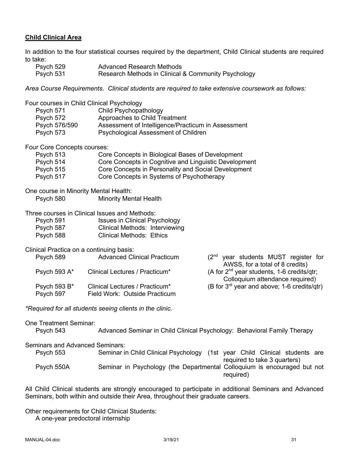## **Child Clinical Area**

In addition to the four statistical courses required by the department, Child Clinical students are required to take:

| Psych 529 | Advanced Research Methods                           |
|-----------|-----------------------------------------------------|
| Psych 531 | Research Methods in Clinical & Community Psychology |

*Area Course Requirements. Clinical students are required to take extensive coursework as follows:*

| Psych 571<br>Psych 572<br>Psych 576/590<br>Psych 573 | Four courses in Child Clinical Psychology<br>Child Psychopathology<br>Approaches to Child Treatment<br>Assessment of Intelligence/Practicum in Assessment<br>Psychological Assessment of Children |                                                                                           |
|------------------------------------------------------|---------------------------------------------------------------------------------------------------------------------------------------------------------------------------------------------------|-------------------------------------------------------------------------------------------|
| Four Core Concepts courses:                          |                                                                                                                                                                                                   |                                                                                           |
| Psych 513                                            | Core Concepts in Biological Bases of Development                                                                                                                                                  |                                                                                           |
| Psych 514                                            | Core Concepts in Cognitive and Linguistic Development                                                                                                                                             |                                                                                           |
| Psych 515                                            | Core Concepts in Personality and Social Development                                                                                                                                               |                                                                                           |
| Psych 517                                            | Core Concepts in Systems of Psychotherapy                                                                                                                                                         |                                                                                           |
| One course in Minority Mental Health:                |                                                                                                                                                                                                   |                                                                                           |
| Psych 580                                            | <b>Minority Mental Health</b>                                                                                                                                                                     |                                                                                           |
|                                                      |                                                                                                                                                                                                   |                                                                                           |
|                                                      | Three courses in Clinical Issues and Methods:                                                                                                                                                     |                                                                                           |
| Psych 591<br>Psych 587                               | <b>Issues in Clinical Psychology</b><br><b>Clinical Methods: Interviewing</b>                                                                                                                     |                                                                                           |
| Psych 588                                            | <b>Clinical Methods: Ethics</b>                                                                                                                                                                   |                                                                                           |
|                                                      |                                                                                                                                                                                                   |                                                                                           |
| Clinical Practica on a continuing basis:             |                                                                                                                                                                                                   |                                                                                           |
| Psych 589                                            | <b>Advanced Clinical Practicum</b>                                                                                                                                                                | (2 <sup>nd</sup> year students MUST register for                                          |
|                                                      |                                                                                                                                                                                                   | AWSS, for a total of 8 credits)                                                           |
| Psych 593 A*                                         | Clinical Lectures / Practicum*                                                                                                                                                                    | (A for 2 <sup>nd</sup> year students, 1-6 credits/qtr;<br>Colloquium attendance required) |
| Psych 593 B*                                         | Clinical Lectures / Practicum*                                                                                                                                                                    | (B for 3 <sup>rd</sup> year and above; 1-6 credits/qtr)                                   |
| Psych 597                                            | Field Work: Outside Practicum                                                                                                                                                                     |                                                                                           |
|                                                      |                                                                                                                                                                                                   |                                                                                           |
|                                                      | *Required for all students seeing clients in the clinic.                                                                                                                                          |                                                                                           |
| <b>One Treatment Seminar:</b>                        |                                                                                                                                                                                                   |                                                                                           |
| Psych 543                                            |                                                                                                                                                                                                   | Advanced Seminar in Child Clinical Psychology: Behavioral Family Therapy                  |
|                                                      |                                                                                                                                                                                                   |                                                                                           |
| <b>Seminars and Advanced Seminars:</b>               |                                                                                                                                                                                                   |                                                                                           |
| Psych 553                                            |                                                                                                                                                                                                   | Seminar in Child Clinical Psychology (1st year Child Clinical students are                |
|                                                      |                                                                                                                                                                                                   | required to take 3 quarters)                                                              |
| Psych 550A                                           |                                                                                                                                                                                                   | Seminar in Psychology (the Departmental Colloquium is encouraged but not<br>required)     |

All Child Clinical students are strongly encouraged to participate in additional Seminars and Advanced Seminars, both within and outside their Area, throughout their graduate careers.

Other requirements for Child Clinical Students:

A one-year predoctoral internship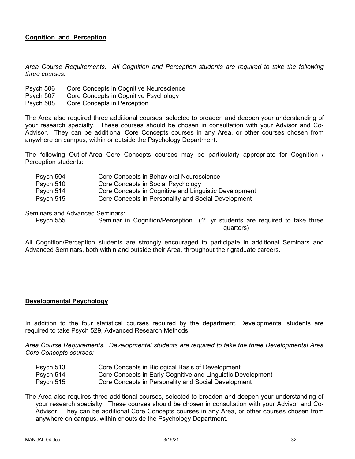## **Cognition and Perception**

*Area Course Requirements. All Cognition and Perception students are required to take the following three courses:*

- Psych 506 Core Concepts in Cognitive Neuroscience
- Psych 507 Core Concepts in Cognitive Psychology
- Psych 508 Core Concepts in Perception

The Area also required three additional courses, selected to broaden and deepen your understanding of your research specialty. These courses should be chosen in consultation with your Advisor and Co-Advisor. They can be additional Core Concepts courses in any Area, or other courses chosen from anywhere on campus, within or outside the Psychology Department.

The following Out-of-Area Core Concepts courses may be particularly appropriate for Cognition / Perception students:

| Psych 504 | Core Concepts in Behavioral Neuroscience              |
|-----------|-------------------------------------------------------|
| Psych 510 | Core Concepts in Social Psychology                    |
| Psych 514 | Core Concepts in Cognitive and Linguistic Development |
| Psych 515 | Core Concepts in Personality and Social Development   |

Seminars and Advanced Seminars:

Psych 555 Seminar in Cognition/Perception  $(1<sup>st</sup>$  yr students are required to take three quarters)

All Cognition/Perception students are strongly encouraged to participate in additional Seminars and Advanced Seminars, both within and outside their Area, throughout their graduate careers.

### **Developmental Psychology**

In addition to the four statistical courses required by the department, Developmental students are required to take Psych 529, Advanced Research Methods.

*Area Course Requirements. Developmental students are required to take the three Developmental Area Core Concepts courses:*

| Psych 513 | Core Concepts in Biological Basis of Development            |
|-----------|-------------------------------------------------------------|
| Psych 514 | Core Concepts in Early Cognitive and Linguistic Development |
| Psych 515 | Core Concepts in Personality and Social Development         |

The Area also requires three additional courses, selected to broaden and deepen your understanding of your research specialty. These courses should be chosen in consultation with your Advisor and Co-Advisor. They can be additional Core Concepts courses in any Area, or other courses chosen from anywhere on campus, within or outside the Psychology Department.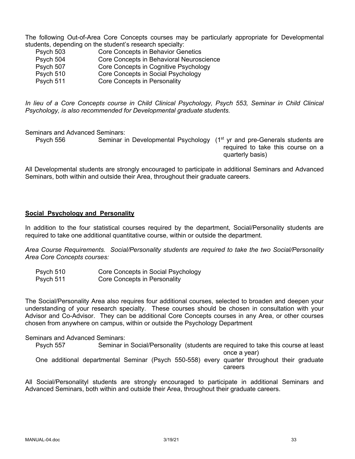The following Out-of-Area Core Concepts courses may be particularly appropriate for Developmental students, depending on the student's research specialty:

| Psych 503 | Core Concepts in Behavior Genetics       |
|-----------|------------------------------------------|
| Psych 504 | Core Concepts in Behavioral Neuroscience |
| Psych 507 | Core Concepts in Cognitive Psychology    |
| Psych 510 | Core Concepts in Social Psychology       |
| Psych 511 | Core Concepts in Personality             |

*In lieu of a Core Concepts course in Child Clinical Psychology, Psych 553, Seminar in Child Clinical Psychology, is also recommended for Developmental graduate students.*

Seminars and Advanced Seminars:

Psych 556 Seminar in Developmental Psychology (1<sup>st</sup> yr and pre-Generals students are required to take this course on a quarterly basis)

All Developmental students are strongly encouraged to participate in additional Seminars and Advanced Seminars, both within and outside their Area, throughout their graduate careers.

### **Social Psychology and Personality**

In addition to the four statistical courses required by the department, Social/Personality students are required to take one additional quantitative course, within or outside the department.

*Area Course Requirements. Social/Personality students are required to take the two Social/Personality Area Core Concepts courses:*

| Psych 510 | Core Concepts in Social Psychology |
|-----------|------------------------------------|
| Psych 511 | Core Concepts in Personality       |

The Social/Personality Area also requires four additional courses, selected to broaden and deepen your understanding of your research specialty. These courses should be chosen in consultation with your Advisor and Co-Advisor. They can be additional Core Concepts courses in any Area, or other courses chosen from anywhere on campus, within or outside the Psychology Department

### Seminars and Advanced Seminars:

Psych 557 Seminar in Social/Personality (students are required to take this course at least once a year) One additional departmental Seminar (Psych 550-558) every quarter throughout their graduate careers

All Social/Personalityl students are strongly encouraged to participate in additional Seminars and Advanced Seminars, both within and outside their Area, throughout their graduate careers.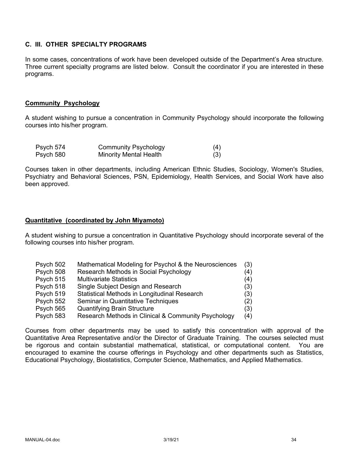## **C. III. OTHER SPECIALTY PROGRAMS**

In some cases, concentrations of work have been developed outside of the Department's Area structure. Three current specialty programs are listed below. Consult the coordinator if you are interested in these programs.

### **Community Psychology**

A student wishing to pursue a concentration in Community Psychology should incorporate the following courses into his/her program.

| Psych 574 | <b>Community Psychology</b> | (4) |
|-----------|-----------------------------|-----|
| Psych 580 | Minority Mental Health      | (3) |

Courses taken in other departments, including American Ethnic Studies, Sociology, Women's Studies, Psychiatry and Behavioral Sciences, PSN, Epidemiology, Health Services, and Social Work have also been approved.

### **Quantitative (coordinated by John Miyamoto)**

A student wishing to pursue a concentration in Quantitative Psychology should incorporate several of the following courses into his/her program.

| Psych 502 | Mathematical Modeling for Psychol & the Neurosciences | (3) |
|-----------|-------------------------------------------------------|-----|
| Psych 508 | Research Methods in Social Psychology                 | (4) |
| Psych 515 | <b>Multivariate Statistics</b>                        | (4) |
| Psych 518 | Single Subject Design and Research                    | (3) |
| Psych 519 | Statistical Methods in Longitudinal Research          | (3) |
| Psych 552 | Seminar in Quantitative Techniques                    | (2) |
| Psych 565 | <b>Quantifying Brain Structure</b>                    | (3) |
| Psych 583 | Research Methods in Clinical & Community Psychology   | (4) |

Courses from other departments may be used to satisfy this concentration with approval of the Quantitative Area Representative and/or the Director of Graduate Training. The courses selected must be rigorous and contain substantial mathematical, statistical, or computational content. You are encouraged to examine the course offerings in Psychology and other departments such as Statistics, Educational Psychology, Biostatistics, Computer Science, Mathematics, and Applied Mathematics.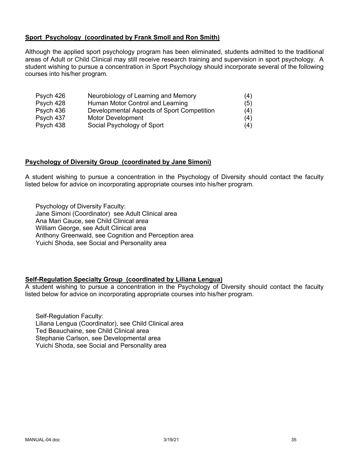### **Sport Psychology (coordinated by Frank Smoll and Ron Smith)**

Although the applied sport psychology program has been eliminated, students admitted to the traditional areas of Adult or Child Clinical may still receive research training and supervision in sport psychology. A student wishing to pursue a concentration in Sport Psychology should incorporate several of the following courses into his/her program.

| Psych 426 | Neurobiology of Learning and Memory        | (4) |
|-----------|--------------------------------------------|-----|
| Psych 428 | Human Motor Control and Learning           | (5) |
| Psych 436 | Developmental Aspects of Sport Competition | (4) |
| Psych 437 | <b>Motor Development</b>                   | (4) |
| Psych 438 | Social Psychology of Sport                 | (4) |

### **Psychology of Diversity Group (coordinated by Jane Simoni)**

A student wishing to pursue a concentration in the Psychology of Diversity should contact the faculty listed below for advice on incorporating appropriate courses into his/her program.

Psychology of Diversity Faculty: Jane Simoni (Coordinator) see Adult Clinical area Ana Mari Cauce, see Child Clinical area William George, see Adult Clinical area Anthony Greenwald, see Cognition and Perception area Yuichi Shoda, see Social and Personality area

### **Self-Regulation Specialty Group (coordinated by Liliana Lengua)**

A student wishing to pursue a concentration in the Psychology of Diversity should contact the faculty listed below for advice on incorporating appropriate courses into his/her program.

Self-Regulation Faculty: Liliana Lengua (Coordinator), see Child Clinical area Ted Beauchaine, see Child Clinical area Stephanie Carlson, see Developmental area Yuichi Shoda, see Social and Personality area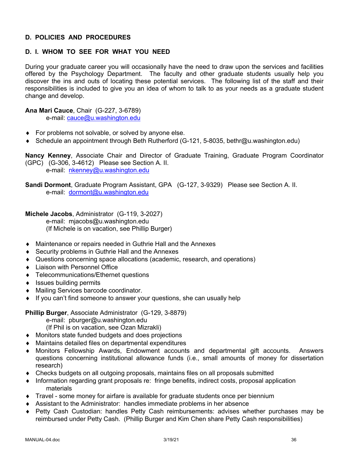## **D. POLICIES AND PROCEDURES**

# **D. I. WHOM TO SEE FOR WHAT YOU NEED**

During your graduate career you will occasionally have the need to draw upon the services and facilities offered by the Psychology Department. The faculty and other graduate students usually help you discover the ins and outs of locating these potential services. The following list of the staff and their responsibilities is included to give you an idea of whom to talk to as your needs as a graduate student change and develop.

**Ana Mari Cauce**, Chair (G-227, 3-6789)

e-mail: cauce@u.washington.edu

- $\bullet$  For problems not solvable, or solved by anyone else.
- ◆ Schedule an appointment through Beth Rutherford (G-121, 5-8035, bethr@u.washington.edu)

**Nancy Kenney**, Associate Chair and Director of Graduate Training, Graduate Program Coordinator (GPC) (G-306, 3-4612) Please see Section A. II. e-mail: nkenney@u.washington.edu

**Sandi Dormont**, Graduate Program Assistant, GPA (G-127, 3-9329) Please see Section A. II. e-mail: dormont@u.washington.edu

**Michele Jacobs**, Administrator (G-119, 3-2027) e-mail: mjacobs@u.washington.edu (If Michele is on vacation, see Phillip Burger)

- Maintenance or repairs needed in Guthrie Hall and the Annexes
- $\triangle$  Security problems in Guthrie Hall and the Annexes
- Questions concerning space allocations (academic, research, and operations)
- Liaison with Personnel Office
- ◆ Telecommunications/Ethernet questions
- $\bullet$  Issues building permits
- ◆ Mailing Services barcode coordinator.
- $\bullet$  If you can't find someone to answer your questions, she can usually help

**Phillip Burger**, Associate Administrator (G-129, 3-8879)

e-mail: pburger@u.washington.edu

(If Phil is on vacation, see Ozan Mizrakli)

- ◆ Monitors state funded budgets and does projections
- $\bullet$  Maintains detailed files on departmental expenditures
- Monitors Fellowship Awards, Endowment accounts and departmental gift accounts. Answers questions concerning institutional allowance funds (i.e., small amounts of money for dissertation research)
- $\bullet$  Checks budgets on all outgoing proposals, maintains files on all proposals submitted
- Information regarding grant proposals re: fringe benefits, indirect costs, proposal application materials
- $\bullet$  Travel some money for airfare is available for graduate students once per biennium
- $\bullet$  Assistant to the Administrator: handles immediate problems in her absence
- Petty Cash Custodian: handles Petty Cash reimbursements: advises whether purchases may be reimbursed under Petty Cash. (Phillip Burger and Kim Chen share Petty Cash responsibilities)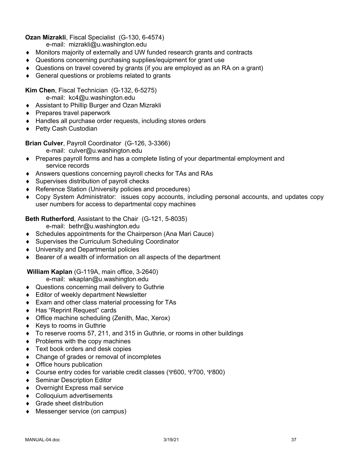## **Ozan Mizrakli**, Fiscal Specialist (G-130, 6-4574)

e-mail: mizrakli@u.washington.edu

- Monitors majority of externally and UW funded research grants and contracts
- Questions concerning purchasing supplies/equipment for grant use
- $\bullet$  Questions on travel covered by grants (if you are employed as an RA on a grant)
- $\triangleleft$  General questions or problems related to grants

**Kim Chen**, Fiscal Technician (G-132, 6-5275)

- e-mail: kc4@u.washington.edu
- ◆ Assistant to Phillip Burger and Ozan Mizrakli
- $\triangle$  Prepares travel paperwork
- $\triangleleft$  Handles all purchase order requests, including stores orders
- ◆ Petty Cash Custodian

**Brian Culver**, Payroll Coordinator (G-126, 3-3366)

- e-mail: culver@u.washington.edu
- Prepares payroll forms and has a complete listing of your departmental employment and service records
- Answers questions concerning payroll checks for TAs and RAs
- $\bullet$  Supervises distribution of payroll checks
- ◆ Reference Station (University policies and procedures)
- Copy System Administrator: issues copy accounts, including personal accounts, and updates copy user numbers for access to departmental copy machines

**Beth Rutherford**, Assistant to the Chair (G-121, 5-8035)

e-mail: bethr@u.washington.edu

- $\bullet$  Schedules appointments for the Chairperson (Ana Mari Cauce)
- ◆ Supervises the Curriculum Scheduling Coordinator
- ◆ University and Departmental policies
- $\bullet$  Bearer of a wealth of information on all aspects of the department

# **William Kaplan** (G-119A, main office, 3-2640)

e-mail: wkaplan@u.washington.edu

- ◆ Questions concerning mail delivery to Guthrie
- $\triangleleft$  Editor of weekly department Newsletter
- $\bullet$  Exam and other class material processing for TAs
- ◆ Has "Reprint Request" cards
- $\bullet$  Office machine scheduling (Zenith, Mac, Xerox)
- $\triangleleft$  Keys to rooms in Guthrie
- To reserve rooms 57, 211, and 315 in Guthrie, or rooms in other buildings
- $\bullet$  Problems with the copy machines
- $\triangleleft$  Text book orders and desk copies
- $\bullet$  Change of grades or removal of incompletes
- $\bullet$  Office hours publication
- ◆ Course entry codes for variable credit classes (Y600, Y700, Y800)
- ◆ Seminar Description Editor
- ◆ Overnight Express mail service
- Colloquium advertisements
- $\triangleleft$  Grade sheet distribution
- ◆ Messenger service (on campus)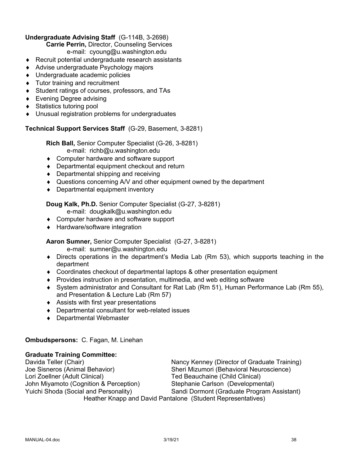## **Undergraduate Advising Staff** (G-114B, 3-2698)

**Carrie Perrin,** Director, Counseling Services

e-mail: cyoung@u.washington.edu

- $\triangle$  Recruit potential undergraduate research assistants
- ◆ Advise undergraduate Psychology majors
- ◆ Undergraduate academic policies
- $\bullet$  Tutor training and recruitment
- ◆ Student ratings of courses, professors, and TAs
- $\bullet$  Evening Degree advising
- ◆ Statistics tutoring pool
- $\bullet$  Unusual registration problems for undergraduates

# **Technical Support Services Staff** (G-29, Basement, 3-8281)

**Rich Ball,** Senior Computer Specialist (G-26, 3-8281) e-mail: richb@u.washington.edu

- ◆ Computer hardware and software support
- $\bullet$  Departmental equipment checkout and return
- $\bullet$  Departmental shipping and receiving
- Questions concerning A/V and other equipment owned by the department
- $\bullet$  Departmental equipment inventory

# **Doug Kalk, Ph.D.** Senior Computer Specialist (G-27, 3-8281)

- e-mail: dougkalk@u.washington.edu
- ◆ Computer hardware and software support
- ◆ Hardware/software integration

# **Aaron Sumner,** Senior Computer Specialist (G-27, 3-8281)

e-mail: sumner@u.washington.edu

- $\bullet$  Directs operations in the department's Media Lab (Rm 53), which supports teaching in the department
- $\bullet$  Coordinates checkout of departmental laptops & other presentation equipment
- $\bullet$  Provides instruction in presentation, multimedia, and web editing software
- ¨ System administrator and Consultant for Rat Lab (Rm 51), Human Performance Lab (Rm 55), and Presentation & Lecture Lab (Rm 57)
- $\triangleleft$  Assists with first year presentations
- $\bullet$  Departmental consultant for web-related issues
- ◆ Departmental Webmaster

# **Ombudspersons:** C. Fagan, M. Linehan

# **Graduate Training Committee:**

Davida Teller (Chair) Nancy Kenney (Director of Graduate Training) Joe Sisneros (Animal Behavior) Sheri Mizumori (Behavioral Neuroscience) Lori Zoellner (Adult Clinical) Ted Beauchaine (Child Clinical) John Miyamoto (Cognition & Perception) Stephanie Carlson (Developmental) Yuichi Shoda (Social and Personality) Sandi Dormont (Graduate Program Assistant) Heather Knapp and David Pantalone (Student Representatives)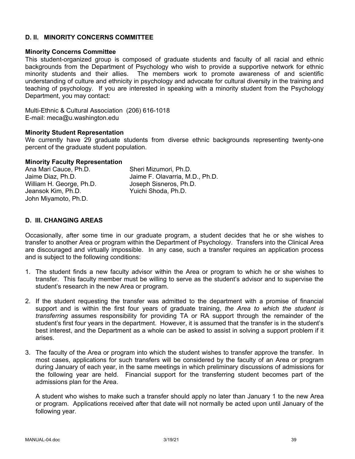### **D. II. MINORITY CONCERNS COMMITTEE**

# **Minority Concerns Committee**

This student-organized group is composed of graduate students and faculty of all racial and ethnic backgrounds from the Department of Psychology who wish to provide a supportive network for ethnic minority students and their allies. The members work to promote awareness of and scientific understanding of culture and ethnicity in psychology and advocate for cultural diversity in the training and teaching of psychology. If you are interested in speaking with a minority student from the Psychology Department, you may contact:

Multi-Ethnic & Cultural Association (206) 616-1018 E-mail: meca@u.washington.edu

### **Minority Student Representation**

We currently have 29 graduate students from diverse ethnic backgrounds representing twenty-one percent of the graduate student population.

### **Minority Faculty Representation**

| Ana Mari Cauce, Ph.D.    | Sheri Mizumori, Ph.D.           |
|--------------------------|---------------------------------|
| Jaime Diaz, Ph.D.        | Jaime F. Olavarria, M.D., Ph.D. |
| William H. George, Ph.D. | Joseph Sisneros, Ph.D.          |
| Jeansok Kim, Ph.D.       | Yuichi Shoda, Ph.D.             |
| John Miyamoto, Ph.D.     |                                 |

## **D. III. CHANGING AREAS**

Occasionally, after some time in our graduate program, a student decides that he or she wishes to transfer to another Area or program within the Department of Psychology. Transfers into the Clinical Area are discouraged and virtually impossible. In any case, such a transfer requires an application process and is subject to the following conditions:

- 1. The student finds a new faculty advisor within the Area or program to which he or she wishes to transfer. This faculty member must be willing to serve as the student's advisor and to supervise the student's research in the new Area or program.
- 2. If the student requesting the transfer was admitted to the department with a promise of financial support and is within the first four years of graduate training, *the Area to which the student is transferring* assumes responsibility for providing TA or RA support through the remainder of the student's first four years in the department. However, it is assumed that the transfer is in the student's best interest, and the Department as a whole can be asked to assist in solving a support problem if it arises.
- 3. The faculty of the Area or program into which the student wishes to transfer approve the transfer. In most cases, applications for such transfers will be considered by the faculty of an Area or program during January of each year, in the same meetings in which preliminary discussions of admissions for the following year are held. Financial support for the transferring student becomes part of the admissions plan for the Area.

A student who wishes to make such a transfer should apply no later than January 1 to the new Area or program. Applications received after that date will not normally be acted upon until January of the following year.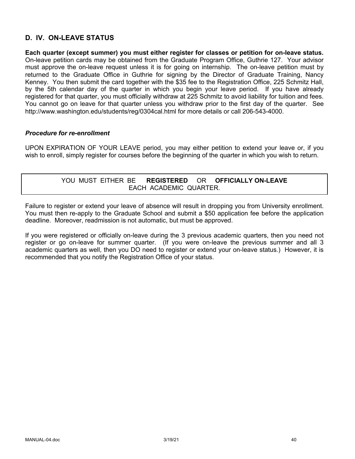# **D. IV. ON-LEAVE STATUS**

**Each quarter (except summer) you must either register for classes or petition for on-leave status.** On-leave petition cards may be obtained from the Graduate Program Office, Guthrie 127. Your advisor must approve the on-leave request unless it is for going on internship. The on-leave petition must by returned to the Graduate Office in Guthrie for signing by the Director of Graduate Training, Nancy Kenney. You then submit the card together with the \$35 fee to the Registration Office, 225 Schmitz Hall, by the 5th calendar day of the quarter in which you begin your leave period. If you have already registered for that quarter, you must officially withdraw at 225 Schmitz to avoid liability for tuition and fees. You cannot go on leave for that quarter unless you withdraw prior to the first day of the quarter. See http://www.washington.edu/students/reg/0304cal.html for more details or call 206-543-4000.

### *Procedure for re-enrollment*

UPON EXPIRATION OF YOUR LEAVE period, you may either petition to extend your leave or, if you wish to enroll, simply register for courses before the beginning of the quarter in which you wish to return.

## YOU MUST EITHER BE **REGISTERED** OR **OFFICIALLY ON-LEAVE** EACH ACADEMIC QUARTER.

Failure to register or extend your leave of absence will result in dropping you from University enrollment. You must then re-apply to the Graduate School and submit a \$50 application fee before the application deadline. Moreover, readmission is not automatic, but must be approved.

If you were registered or officially on-leave during the 3 previous academic quarters, then you need not register or go on-leave for summer quarter. (If you were on-leave the previous summer and all 3 academic quarters as well, then you DO need to register or extend your on-leave status.) However, it is recommended that you notify the Registration Office of your status.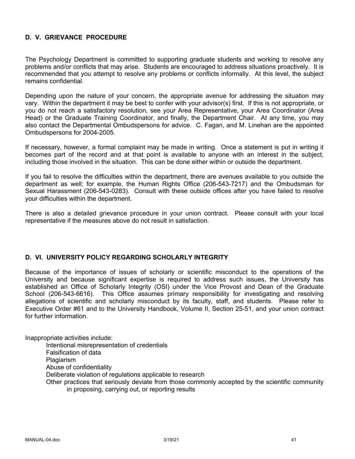## **D. V. GRIEVANCE PROCEDURE**

The Psychology Department is committed to supporting graduate students and working to resolve any problems and/or conflicts that may arise. Students are encouraged to address situations proactively. It is recommended that you attempt to resolve any problems or conflicts informally. At this level, the subject remains confidential.

Depending upon the nature of your concern, the appropriate avenue for addressing the situation may vary. Within the department it may be best to confer with your advisor(s) first. If this is not appropriate, or you do not reach a satisfactory resolution, see your Area Representative, your Area Coordinator (Area Head) or the Graduate Training Coordinator, and finally, the Department Chair. At any time, you may also contact the Departmental Ombudspersons for advice. C. Fagan, and M. Linehan are the appointed Ombudspersons for 2004-2005.

If necessary, however, a formal complaint may be made in writing. Once a statement is put in writing it becomes part of the record and at that point is available to anyone with an interest in the subject, including those involved in the situation. This can be done either within or outside the department.

If you fail to resolve the difficulties within the department, there are avenues available to you outside the department as well; for example, the Human Rights Office (206-543-7217) and the Ombudsman for Sexual Harassment (206-543-0283). Consult with these outside offices after you have failed to resolve your difficulties within the department.

There is also a detailed grievance procedure in your union contract. Please consult with your local representative if the measures above do not result in satisfaction.

### **D. VI. UNIVERSITY POLICY REGARDING SCHOLARLY INTEGRITY**

Because of the importance of issues of scholarly or scientific misconduct to the operations of the University and because significant expertise is required to address such issues, the University has established an Office of Scholarly Integrity (OSI) under the Vice Provost and Dean of the Graduate School (206-543-6616). This Office assumes primary responsibility for investigating and resolving allegations of scientific and scholarly misconduct by its faculty, staff, and students. Please refer to Executive Order #61 and to the University Handbook, Volume II, Section 25-51, and your union contract for further information.

Inappropriate activities include:

Intentional misrepresentation of credentials

Falsification of data

**Plagiarism** 

Abuse of confidentiality

Deliberate violation of regulations applicable to research

Other practices that seriously deviate from those commonly accepted by the scientific community in proposing, carrying out, or reporting results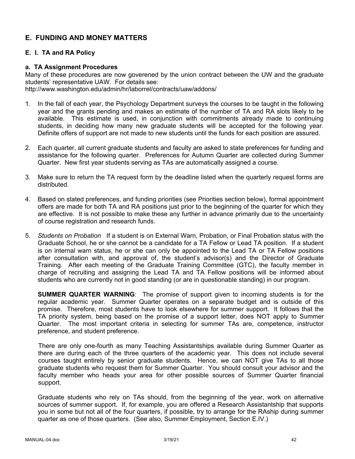# **E. FUNDING AND MONEY MATTERS**

## **E. I. TA and RA Policy**

### **a. TA Assignment Procedures**

Many of these procedures are now goverened by the union contract between the UW and the graduate students' representative UAW. For details see: http://www.washington.edu/admin/hr/laborrel/contracts/uaw/addons/

- 1. In the fall of each year, the Psychology Department surveys the courses to be taught in the following year and the grants pending and makes an estimate of the number of TA and RA slots likely to be available. This estimate is used, in conjunction with commitments already made to continuing students, in deciding how many new graduate students will be accepted for the following year. Definite offers of support are not made to new students until the funds for each position are assured.
- 2. Each quarter, all current graduate students and faculty are asked to state preferences for funding and assistance for the following quarter. Preferences for Autumn Quarter are collected during Summer Quarter. New first year students serving as TAs are automatically assigned a course.
- 3. Make sure to return the TA request form by the deadline listed when the quarterly request forms are distributed.
- 4. Based on stated preferences, and funding priorities (see Priorities section below), formal appointment offers are made for both TA and RA positions just prior to the beginning of the quarter for which they are effective. It is not possible to make these any further in advance primarily due to the uncertainty of course registration and research funds.
- 5. *Students on Probation* If a student is on External Warn, Probation, or Final Probation status with the Graduate School, he or she cannot be a candidate for a TA Fellow or Lead TA position. If a student is on internal warn status, he or she can only be appointed to the Lead TA or TA Fellow positions after consultation with, and approval of, the student's advisor(s) and the Director of Graduate Training. After each meeting of the Graduate Training Committee (GTC), the faculty member in charge of recruiting and assigning the Lead TA and TA Fellow positions will be informed about students who are currently not in good standing (or are in questionable standing) in our program.

**SUMMER QUARTER WARNING**: The promise of support given to incoming students is for the regular academic year. Summer Quarter operates on a separate budget and is outside of this promise. Therefore, most students have to look elsewhere for summer support. It follows that the TA priority system, being based on the promise of a support letter, does NOT apply to Summer Quarter. The most important criteria in selecting for summer TAs are, competence, instructor preference, and student preference.

There are only one-fourth as many Teaching Assistantships available during Summer Quarter as there are during each of the three quarters of the academic year. This does not include several courses taught entirely by senior graduate students. Hence, we can NOT give TAs to all those graduate students who request them for Summer Quarter. You should consult your advisor and the faculty member who heads your area for other possible sources of Summer Quarter financial support.

Graduate students who rely on TAs should, from the beginning of the year, work on alternative sources of summer support. If, for example, you are offered a Research Assistantship that supports you in some but not all of the four quarters, if possible, try to arrange for the RAship during summer quarter as one of those quarters. (See also, Summer Employment, Section E.IV.)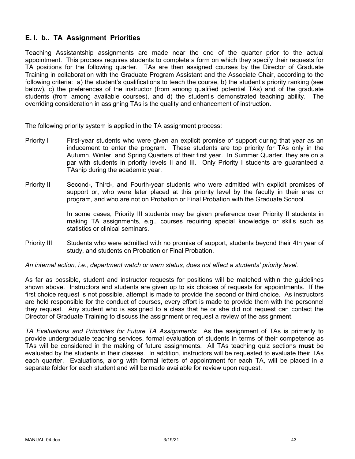# **E. I. b.. TA Assignment Priorities**

Teaching Assistantship assignments are made near the end of the quarter prior to the actual appointment. This process requires students to complete a form on which they specify their requests for TA positions for the following quarter. TAs are then assigned courses by the Director of Graduate Training in collaboration with the Graduate Program Assistant and the Associate Chair, according to the following criteria: a) the student's qualifications to teach the course, b) the student's priority ranking (see below), c) the preferences of the instructor (from among qualified potential TAs) and of the graduate students (from among available courses), and d) the student's demonstrated teaching ability. The overriding consideration in assigning TAs is the quality and enhancement of instruction.

The following priority system is applied in the TA assignment process:

- Priority I First-year students who were given an explicit promise of support during that year as an inducement to enter the program. These students are top priority for TAs only in the Autumn, Winter, and Spring Quarters of their first year. In Summer Quarter, they are on a par with students in priority levels II and III. Only Priority I students are guaranteed a TAship during the academic year.
- Priority II Second-, Third-, and Fourth-year students who were admitted with explicit promises of support or, who were later placed at this priority level by the faculty in their area or program, and who are not on Probation or Final Probation with the Graduate School.

In some cases, Priority III students may be given preference over Priority II students in making TA assignments, e.g., courses requiring special knowledge or skills such as statistics or clinical seminars.

Priority III Students who were admitted with no promise of support, students beyond their 4th year of study, and students on Probation or Final Probation.

*An internal action, i.e., department watch or warn status, does not affect a students' priority level.*

As far as possible, student and instructor requests for positions will be matched within the guidelines shown above. Instructors and students are given up to six choices of requests for appointments. If the first choice request is not possible, attempt is made to provide the second or third choice. As instructors are held responsible for the conduct of courses, every effort is made to provide them with the personnel they request. Any student who is assigned to a class that he or she did not request can contact the Director of Graduate Training to discuss the assignment or request a review of the assignment.

*TA Evaluations and Prioritities for Future TA Assignments*: As the assignment of TAs is primarily to provide undergraduate teaching services, formal evaluation of students in terms of their competence as TAs will be considered in the making of future assignments. All TAs teaching quiz sections **must** be evaluated by the students in their classes. In addition, instructors will be requested to evaluate their TAs each quarter. Evaluations, along with formal letters of appointment for each TA, will be placed in a separate folder for each student and will be made available for review upon request.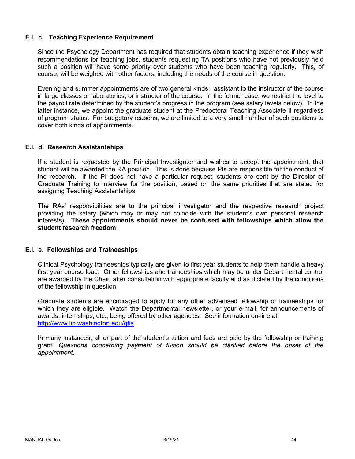### **E.I. c. Teaching Experience Requirement**

Since the Psychology Department has required that students obtain teaching experience if they wish recommendations for teaching jobs, students requesting TA positions who have not previously held such a position will have some priority over students who have been teaching regularly. This, of course, will be weighed with other factors, including the needs of the course in question.

Evening and summer appointments are of two general kinds: assistant to the instructor of the course in large classes or laboratories; or instructor of the course. In the former case, we restrict the level to the payroll rate determined by the student's progress in the program (see salary levels below). In the latter instance, we appoint the graduate student at the Predoctoral Teaching Associate II regardless of program status. For budgetary reasons, we are limited to a very small number of such positions to cover both kinds of appointments.

### **E.I. d. Research Assistantships**

If a student is requested by the Principal Investigator and wishes to accept the appointment, that student will be awarded the RA position. This is done because PIs are responsible for the conduct of the research. If the PI does not have a particular request, students are sent by the Director of Graduate Training to interview for the position, based on the same priorities that are stated for assigning Teaching Assistantships.

The RAs' responsibilities are to the principal investigator and the respective research project providing the salary (which may or may not coincide with the student's own personal research interests). **These appointments should never be confused with fellowships which allow the student research freedom**.

### **E.I. e. Fellowships and Traineeships**

Clinical Psychology traineeships typically are given to first year students to help them handle a heavy first year course load. Other fellowships and traineeships which may be under Departmental control are awarded by the Chair, after consultation with appropriate faculty and as dictated by the conditions of the fellowship in question.

Graduate students are encouraged to apply for any other advertised fellowship or traineeships for which they are eligible. Watch the Departmental newsletter, or your e-mail, for announcements of awards, internships, etc., being offered by other agencies. See information on-line at: http://www.lib.washington.edu/gfis

In many instances, all or part of the student's tuition and fees are paid by the fellowship or training grant. *Questions concerning payment of tuition should be clarified before the onset of the appointment.*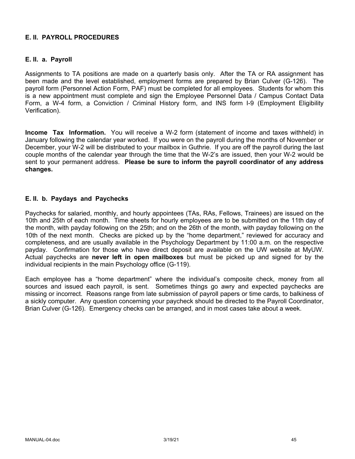## **E. II. PAYROLL PROCEDURES**

## **E. II. a. Payroll**

Assignments to TA positions are made on a quarterly basis only. After the TA or RA assignment has been made and the level established, employment forms are prepared by Brian Culver (G-126). The payroll form (Personnel Action Form, PAF) must be completed for all employees. Students for whom this is a new appointment must complete and sign the Employee Personnel Data / Campus Contact Data Form, a W-4 form, a Conviction / Criminal History form, and INS form I-9 (Employment Eligibility Verification).

**Income Tax Information.** You will receive a W-2 form (statement of income and taxes withheld) in January following the calendar year worked. If you were on the payroll during the months of November or December, your W-2 will be distributed to your mailbox in Guthrie. If you are off the payroll during the last couple months of the calendar year through the time that the W-2's are issued, then your W-2 would be sent to your permanent address. **Please be sure to inform the payroll coordinator of any address changes.**

### **E. II. b. Paydays and Paychecks**

Paychecks for salaried, monthly, and hourly appointees (TAs, RAs, Fellows, Trainees) are issued on the 10th and 25th of each month. Time sheets for hourly employees are to be submitted on the 11th day of the month, with payday following on the 25th; and on the 26th of the month, with payday following on the 10th of the next month. Checks are picked up by the "home department," reviewed for accuracy and completeness, and are usually available in the Psychology Department by 11:00 a.m. on the respective payday. Confirmation for those who have direct deposit are available on the UW website at MyUW. Actual paychecks are **never left in open mailboxes** but must be picked up and signed for by the individual recipients in the main Psychology office (G-119).

Each employee has a "home department" where the individual's composite check, money from all sources and issued each payroll, is sent. Sometimes things go awry and expected paychecks are missing or incorrect. Reasons range from late submission of payroll papers or time cards, to balkiness of a sickly computer. Any question concerning your paycheck should be directed to the Payroll Coordinator, Brian Culver (G-126). Emergency checks can be arranged, and in most cases take about a week.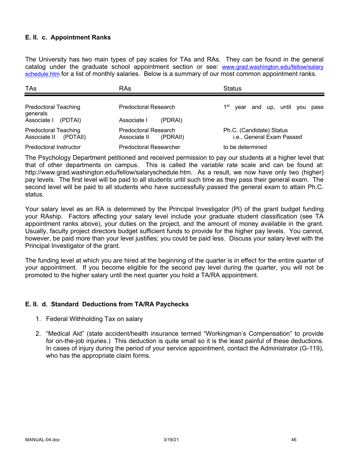## **E. II. c. Appointment Ranks**

The University has two main types of pay scales for TAs and RAs. They can be found in the general catalog under the graduate school appointment section or see: www.grad.washington.edu/fellow/salary schedule.htm for a list of monthly salaries. Below is a summary of our most common appointment ranks.

| TAs                                                     | RAs                                              | <b>Status</b>                                         |
|---------------------------------------------------------|--------------------------------------------------|-------------------------------------------------------|
| <b>Predoctoral Teaching</b><br>generals                 | Predoctoral Research                             | 1 <sup>st</sup><br>year and up, until you<br>pass     |
| Associate I<br>(PDTAI)                                  | Associate I<br>(PDRAI)                           |                                                       |
| <b>Predoctoral Teaching</b><br>(PDTAII)<br>Associate II | Predoctoral Research<br>Associate II<br>(PDRAII) | Ph.C. (Candidate) Status<br>i.e., General Exam Passed |
| Predoctoral Instructor                                  | <b>Predoctoral Researcher</b>                    | to be determined                                      |

The Psychology Department petitioned and received permission to pay our students at a higher level that that of other departments on campus. This is called the variable rate scale and can be found at: http://www.grad.washington.edu/fellow/salaryschedule.htm. As a result, we now have only two (higher) pay levels. The first level will be paid to all students until such time as they pass their general exam. The second level will be paid to all students who have successfully passed the general exam to attain Ph.C. status.

Your salary level as an RA is determined by the Principal Investigator (PI) of the grant budget funding your RAship. Factors affecting your salary level include your graduate student classification (see TA appointment ranks above), your duties on the project, and the amount of money available in the grant. Usually, faculty project directors budget sufficient funds to provide for the higher pay levels. You cannot, however, be paid more than your level justifies; you could be paid less. Discuss your salary level with the Principal Investigator of the grant.

The funding level at which you are hired at the beginning of the quarter is in effect for the entire quarter of your appointment. If you become eligible for the second pay level during the quarter, you will not be promoted to the higher salary until the next quarter you hold a TA/RA appointment.

### **E. II. d. Standard Deductions from TA/RA Paychecks**

- 1. Federal Withholding Tax on salary
- 2. "Medical Aid" (state accident/health insurance termed "Workingman's Compensation" to provide for on-the-job injuries.) This deduction is quite small so it is the least painful of these deductions. In cases of injury during the period of your service appointment, contact the Administrator (G-119), who has the appropriate claim forms.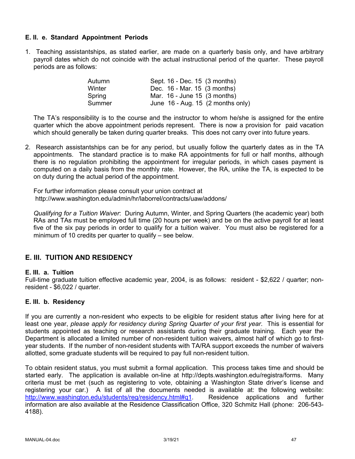## **E. II. e. Standard Appointment Periods**

1. Teaching assistantships, as stated earlier, are made on a quarterly basis only, and have arbitrary payroll dates which do not coincide with the actual instructional period of the quarter. These payroll periods are as follows:

| Autumn | Sept. 16 - Dec. 15 (3 months)                 |
|--------|-----------------------------------------------|
| Winter | Dec. 16 - Mar. 15 (3 months)                  |
| Spring | Mar. 16 - June 15 (3 months)                  |
| Summer | June $16$ - Aug. 15 $(2 \text{ months only})$ |

The TA's responsibility is to the course and the instructor to whom he/she is assigned for the entire quarter which the above appointment periods represent. There is now a provision for paid vacation which should generally be taken during quarter breaks. This does not carry over into future years.

2. Research assistantships can be for any period, but usually follow the quarterly dates as in the TA appointments. The standard practice is to make RA appointments for full or half months, although there is no regulation prohibiting the appointment for irregular periods, in which cases payment is computed on a daily basis from the monthly rate. However, the RA, unlike the TA, is expected to be on duty during the actual period of the appointment.

For further information please consult your union contract at http://www.washington.edu/admin/hr/laborrel/contracts/uaw/addons/

*Qualifying for a Tuition Waiver*: During Autumn, Winter, and Spring Quarters (the academic year) both RAs and TAs must be employed full time (20 hours per week) and be on the active payroll for at least five of the six pay periods in order to qualify for a tuition waiver. You must also be registered for a minimum of 10 credits per quarter to qualify – see below.

# **E. III. TUITION AND RESIDENCY**

### **E. III. a. Tuition**

Full-time graduate tuition effective academic year, 2004, is as follows: resident - \$2,622 / quarter; nonresident - \$6,022 / quarter.

### **E. III. b. Residency**

If you are currently a non-resident who expects to be eligible for resident status after living here for at least one year, *please apply for residency during Spring Quarter of your first year*. This is essential for students appointed as teaching or research assistants during their graduate training. Each year the Department is allocated a limited number of non-resident tuition waivers, almost half of which go to firstyear students. If the number of non-resident students with TA/RA support exceeds the number of waivers allotted, some graduate students will be required to pay full non-resident tuition.

To obtain resident status, you must submit a formal application. This process takes time and should be started early. The application is available on-line at http://depts.washington.edu/registra/forms. Many criteria must be met (such as registering to vote, obtaining a Washington State driver's license and registering your car.) A list of all the documents needed is available at: the following website: http://www.washington.edu/students/reg/residency.html#q1. Residence applications and further information are also available at the Residence Classification Office, 320 Schmitz Hall (phone: 206-543- 4188).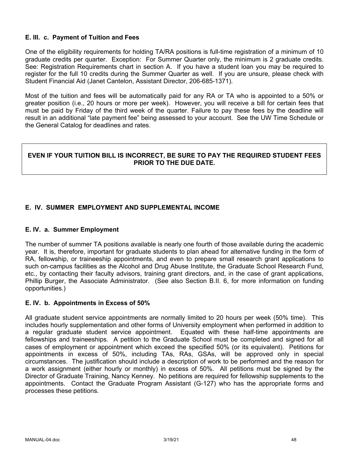## **E. III. c. Payment of Tuition and Fees**

One of the eligibility requirements for holding TA/RA positions is full-time registration of a minimum of 10 graduate credits per quarter. Exception: For Summer Quarter only, the minimum is 2 graduate credits. See: Registration Requirements chart in section A. If you have a student loan you may be required to register for the full 10 credits during the Summer Quarter as well. If you are unsure, please check with Student Financial Aid (Janet Cantelon, Assistant Director, 206-685-1371).

Most of the tuition and fees will be automatically paid for any RA or TA who is appointed to a 50% or greater position (i.e., 20 hours or more per week). However, you will receive a bill for certain fees that must be paid by Friday of the third week of the quarter. Failure to pay these fees by the deadline will result in an additional "late payment fee" being assessed to your account. See the UW Time Schedule or the General Catalog for deadlines and rates.

## **EVEN IF YOUR TUITION BILL IS INCORRECT, BE SURE TO PAY THE REQUIRED STUDENT FEES PRIOR TO THE DUE DATE.**

## **E. IV. SUMMER EMPLOYMENT AND SUPPLEMENTAL INCOME**

### **E. IV. a. Summer Employment**

The number of summer TA positions available is nearly one fourth of those available during the academic year. It is, therefore, important for graduate students to plan ahead for alternative funding in the form of RA, fellowship, or traineeship appointments, and even to prepare small research grant applications to such on-campus facilities as the Alcohol and Drug Abuse Institute, the Graduate School Research Fund, etc., by contacting their faculty advisors, training grant directors, and, in the case of grant applications, Phillip Burger, the Associate Administrator. (See also Section B.II. 6, for more information on funding opportunities.)

### **E. IV. b. Appointments in Excess of 50%**

All graduate student service appointments are normally limited to 20 hours per week (50% time). This includes hourly supplementation and other forms of University employment when performed in addition to a regular graduate student service appointment. Equated with these half-time appointments are fellowships and traineeships. A petition to the Graduate School must be completed and signed for all cases of employment or appointment which exceed the specified 50% (or its equivalent). Petitions for appointments in excess of 50%, including TAs, RAs, GSAs, will be approved only in special circumstances. The justification should include a description of work to be performed and the reason for a work assignment (either hourly or monthly) in excess of 50%. All petitions must be signed by the Director of Graduate Training, Nancy Kenney. No petitions are required for fellowship supplements to the appointments. Contact the Graduate Program Assistant (G-127) who has the appropriate forms and processes these petitions.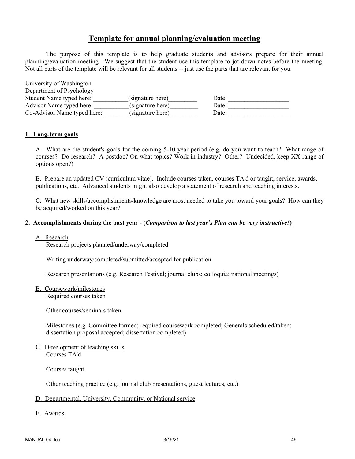# **Template for annual planning/evaluation meeting**

The purpose of this template is to help graduate students and advisors prepare for their annual planning/evaluation meeting. We suggest that the student use this template to jot down notes before the meeting. Not all parts of the template will be relevant for all students -- just use the parts that are relevant for you.

| University of Washington    |                  |       |
|-----------------------------|------------------|-------|
| Department of Psychology    |                  |       |
| Student Name typed here:    | (signature here) | Date: |
| Advisor Name typed here:    | (signature here) | Date: |
| Co-Advisor Name typed here: | (signature here) | Date: |

#### **1. Long-term goals**

A. What are the student's goals for the coming 5-10 year period (e.g. do you want to teach? What range of courses? Do research? A postdoc? On what topics? Work in industry? Other? Undecided, keep XX range of options open?)

B. Prepare an updated CV (curriculum vitae). Include courses taken, courses TA'd or taught, service, awards, publications, etc. Advanced students might also develop a statement of research and teaching interests.

C. What new skills/accomplishments/knowledge are most needed to take you toward your goals? How can they be acquired/worked on this year?

#### **2. Accomplishments during the past year - (***Comparison to last year's Plan can be very instructive!***)**

#### A. Research

Research projects planned/underway/completed

Writing underway/completed/submitted/accepted for publication

Research presentations (e.g. Research Festival; journal clubs; colloquia; national meetings)

B. Coursework/milestones

Required courses taken

Other courses/seminars taken

Milestones (e.g. Committee formed; required coursework completed; Generals scheduled/taken; dissertation proposal accepted; dissertation completed)

C. Development of teaching skills Courses TA'd

Courses taught

Other teaching practice (e.g. journal club presentations, guest lectures, etc.)

#### D. Departmental, University, Community, or National service

E. Awards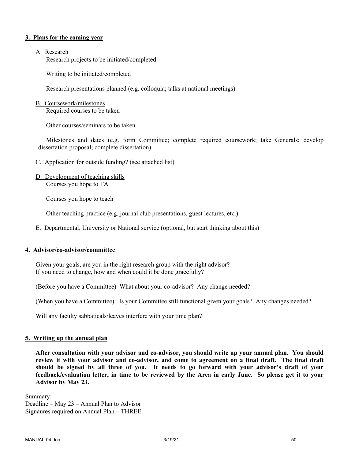#### **3. Plans for the coming year**

#### A. Research

Research projects to be initiated/completed

Writing to be initiated/completed

Research presentations planned (e.g. colloquia; talks at national meetings)

### B. Coursework/milestones

Required courses to be taken

Other courses/seminars to be taken

Milestones and dates (e.g. form Committee; complete required coursework; take Generals; develop dissertation proposal; complete dissertation)

- C. Application for outside funding? (see attached list)
- D. Development of teaching skills Courses you hope to TA

Courses you hope to teach

Other teaching practice (e.g. journal club presentations, guest lectures, etc.)

E. Departmental, University or National service (optional, but start thinking about this)

### **4. Advisor/co-advisor/committee**

Given your goals, are you in the right research group with the right advisor? If you need to change, how and when could it be done gracefully?

(Before you have a Committee) What about your co-advisor? Any change needed?

(When you have a Committee): Is your Committee still functional given your goals? Any changes needed?

Will any faculty sabbaticals/leaves interfere with your time plan?

#### **5. Writing up the annual plan**

**After consultation with your advisor and co-advisor, you should write up your annual plan. You should review it with your advisor and co-advisor, and come to agreement on a final draft. The final draft should be signed by all three of you. It needs to go forward with your advisor's draft of your feedback/evaluation letter, in time to be reviewed by the Area in early June. So please get it to your Advisor by May 23.**

Summary: Deadline – May 23 – Annual Plan to Advisor Signaures required on Annual Plan – THREE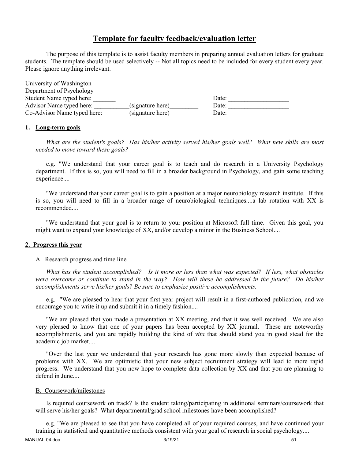## **Template for faculty feedback/evaluation letter**

The purpose of this template is to assist faculty members in preparing annual evaluation letters for graduate students. The template should be used selectively -- Not all topics need to be included for every student every year. Please ignore anything irrelevant.

| University of Washington    |                  |       |  |
|-----------------------------|------------------|-------|--|
| Department of Psychology    |                  |       |  |
| Student Name typed here:    |                  | Date: |  |
| Advisor Name typed here:    | (signature here) | Date: |  |
| Co-Advisor Name typed here: | (signature here) | Date: |  |

### **1. Long-term goals**

*What are the student's goals? Has his/her activity served his/her goals well? What new skills are most needed to move toward these goals?*

e.g. "We understand that your career goal is to teach and do research in a University Psychology department. If this is so, you will need to fill in a broader background in Psychology, and gain some teaching experience....

"We understand that your career goal is to gain a position at a major neurobiology research institute. If this is so, you will need to fill in a broader range of neurobiological techniques....a lab rotation with XX is recommended....

"We understand that your goal is to return to your position at Microsoft full time. Given this goal, you might want to expand your knowledge of XX, and/or develop a minor in the Business School....

#### **2. Progress this year**

#### A. Research progress and time line

*What has the student accomplished? Is it more or less than what was expected? If less, what obstacles were overcome or continue to stand in the way? How will these be addressed in the future? Do his/her accomplishments serve his/her goals? Be sure to emphasize positive accomplishments.*

e.g. "We are pleased to hear that your first year project will result in a first-authored publication, and we encourage you to write it up and submit it in a timely fashion....

"We are pleased that you made a presentation at XX meeting, and that it was well received. We are also very pleased to know that one of your papers has been accepted by XX journal. These are noteworthy accomplishments, and you are rapidly building the kind of *vita* that should stand you in good stead for the academic job market....

"Over the last year we understand that your research has gone more slowly than expected because of problems with XX. We are optimistic that your new subject recruitment strategy will lead to more rapid progress. We understand that you now hope to complete data collection by XX and that you are planning to defend in June....

#### B. Coursework/milestones

Is required coursework on track? Is the student taking/participating in additional seminars/coursework that will serve his/her goals? What departmental/grad school milestones have been accomplished?

e.g. "We are pleased to see that you have completed all of your required courses, and have continued your training in statistical and quantitative methods consistent with your goal of research in social psychology....